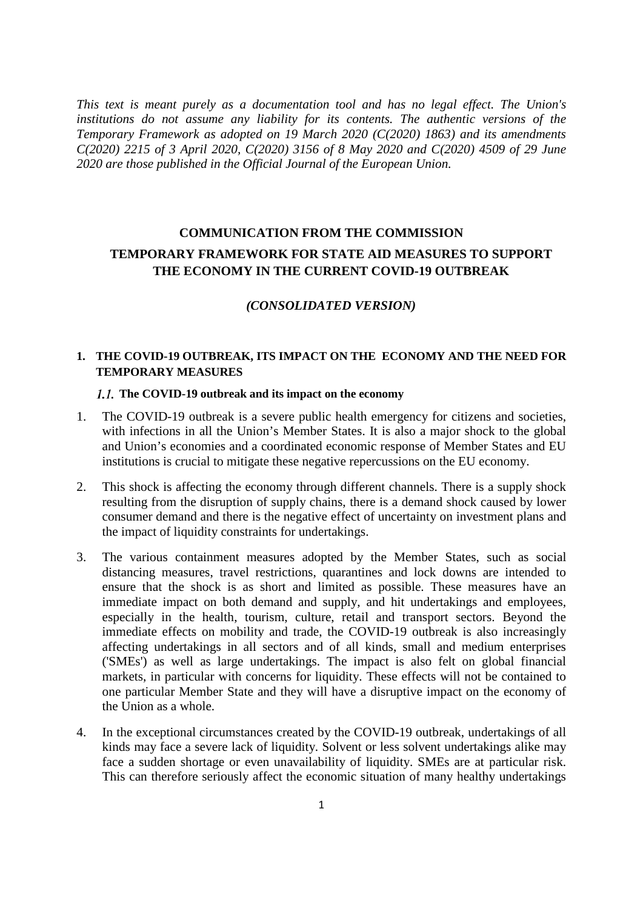*This text is meant purely as a documentation tool and has no legal effect. The Union's institutions do not assume any liability for its contents. The authentic versions of the Temporary Framework as adopted on 19 March 2020 (C(2020) 1863) and its amendments C(2020) 2215 of 3 April 2020, C(2020) 3156 of 8 May 2020 and C(2020) 4509 of 29 June 2020 are those published in the Official Journal of the European Union.* 

# **COMMUNICATION FROM THE COMMISSION TEMPORARY FRAMEWORK FOR STATE AID MEASURES TO SUPPORT THE ECONOMY IN THE CURRENT COVID-19 OUTBREAK**

### *(CONSOLIDATED VERSION)*

### **1. THE COVID-19 OUTBREAK, ITS IMPACT ON THE ECONOMY AND THE NEED FOR TEMPORARY MEASURES**

### **The COVID-19 outbreak and its impact on the economy**

- 1. The COVID-19 outbreak is a severe public health emergency for citizens and societies, with infections in all the Union's Member States. It is also a major shock to the global and Union's economies and a coordinated economic response of Member States and EU institutions is crucial to mitigate these negative repercussions on the EU economy.
- 2. This shock is affecting the economy through different channels. There is a supply shock resulting from the disruption of supply chains, there is a demand shock caused by lower consumer demand and there is the negative effect of uncertainty on investment plans and the impact of liquidity constraints for undertakings.
- 3. The various containment measures adopted by the Member States, such as social distancing measures, travel restrictions, quarantines and lock downs are intended to ensure that the shock is as short and limited as possible. These measures have an immediate impact on both demand and supply, and hit undertakings and employees, especially in the health, tourism, culture, retail and transport sectors. Beyond the immediate effects on mobility and trade, the COVID-19 outbreak is also increasingly affecting undertakings in all sectors and of all kinds, small and medium enterprises ('SMEs') as well as large undertakings. The impact is also felt on global financial markets, in particular with concerns for liquidity. These effects will not be contained to one particular Member State and they will have a disruptive impact on the economy of the Union as a whole.
- 4. In the exceptional circumstances created by the COVID-19 outbreak, undertakings of all kinds may face a severe lack of liquidity. Solvent or less solvent undertakings alike may face a sudden shortage or even unavailability of liquidity. SMEs are at particular risk. This can therefore seriously affect the economic situation of many healthy undertakings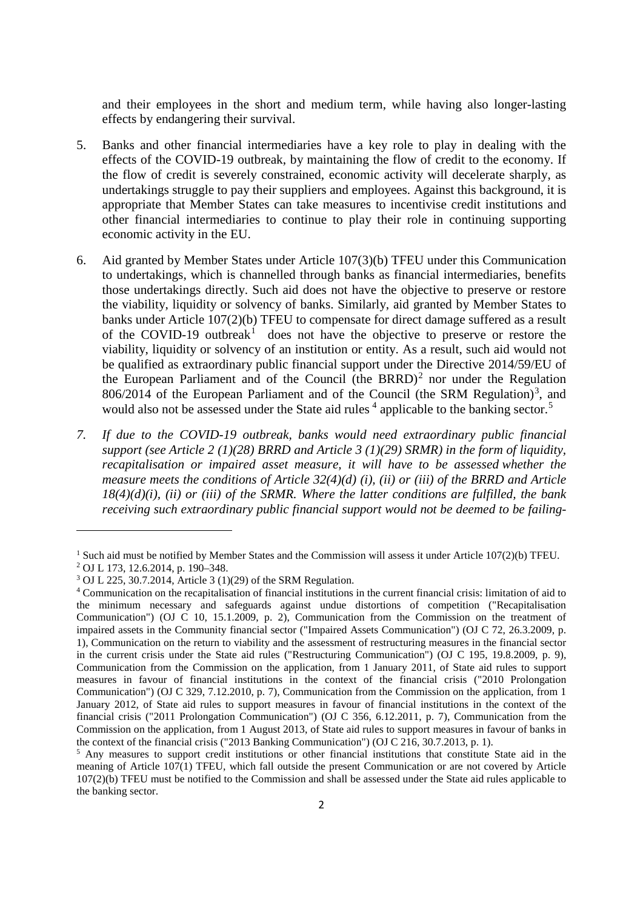and their employees in the short and medium term, while having also longer-lasting effects by endangering their survival.

- 5. Banks and other financial intermediaries have a key role to play in dealing with the effects of the COVID-19 outbreak, by maintaining the flow of credit to the economy. If the flow of credit is severely constrained, economic activity will decelerate sharply, as undertakings struggle to pay their suppliers and employees. Against this background, it is appropriate that Member States can take measures to incentivise credit institutions and other financial intermediaries to continue to play their role in continuing supporting economic activity in the EU.
- 6. Aid granted by Member States under Article 107(3)(b) TFEU under this Communication to undertakings, which is channelled through banks as financial intermediaries, benefits those undertakings directly. Such aid does not have the objective to preserve or restore the viability, liquidity or solvency of banks. Similarly, aid granted by Member States to banks under Article 107(2)(b) TFEU to compensate for direct damage suffered as a result of the COVID-[1](#page-1-0)9 outbreak<sup>1</sup> does not have the objective to preserve or restore the viability, liquidity or solvency of an institution or entity. As a result, such aid would not be qualified as extraordinary public financial support under the Directive 2014/59/EU of the European Parliament and of the Council (the BRRD)<sup>[2](#page-1-1)</sup> nor under the Regulation  $806/2014$  of the European Parliament and of the Council (the SRM Regulation)<sup>[3](#page-1-2)</sup>, and would also not be assessed under the State aid rules  $4$  applicable to the banking sector.<sup>[5](#page-1-4)</sup>
- *7. If due to the COVID-19 outbreak, banks would need extraordinary public financial support (see Article 2 (1)(28) BRRD and Article 3 (1)(29) SRMR) in the form of liquidity, recapitalisation or impaired asset measure, it will have to be assessed whether the measure meets the conditions of Article 32(4)(d) (i), (ii) or (iii) of the BRRD and Article 18(4)(d)(i), (ii) or (iii) of the SRMR. Where the latter conditions are fulfilled, the bank receiving such extraordinary public financial support would not be deemed to be failing-*

<u>.</u>

<span id="page-1-0"></span><sup>&</sup>lt;sup>1</sup> Such aid must be notified by Member States and the Commission will assess it under Article 107(2)(b) TFEU. <sup>2</sup> OJ L 173, 12.6.2014, p. 190–348.

<span id="page-1-2"></span><span id="page-1-1"></span><sup>3</sup> OJ L 225, 30.7.2014, Article 3 (1)(29) of the SRM Regulation.

<span id="page-1-3"></span><sup>4</sup> Communication on the recapitalisation of financial institutions in the current financial crisis: limitation of aid to the minimum necessary and safeguards against undue distortions of competition ("Recapitalisation Communication") (OJ C 10, 15.1.2009, p. 2), Communication from the Commission on the treatment of impaired assets in the Community financial sector ("Impaired Assets Communication") (OJ C 72, 26.3.2009, p. 1), Communication on the return to viability and the assessment of restructuring measures in the financial sector in the current crisis under the State aid rules ("Restructuring Communication") (OJ C 195, 19.8.2009, p. 9), Communication from the Commission on the application, from 1 January 2011, of State aid rules to support measures in favour of financial institutions in the context of the financial crisis ("2010 Prolongation Communication") (OJ C 329, 7.12.2010, p. 7), Communication from the Commission on the application, from 1 January 2012, of State aid rules to support measures in favour of financial institutions in the context of the financial crisis ("2011 Prolongation Communication") (OJ C 356, 6.12.2011, p. 7), Communication from the Commission on the application, from 1 August 2013, of State aid rules to support measures in favour of banks in the context of the financial crisis ("2013 Banking Communication") (OJ C 216, 30.7.2013, p. 1).

<span id="page-1-4"></span><sup>5</sup> Any measures to support credit institutions or other financial institutions that constitute State aid in the meaning of Article 107(1) TFEU, which fall outside the present Communication or are not covered by Article 107(2)(b) TFEU must be notified to the Commission and shall be assessed under the State aid rules applicable to the banking sector.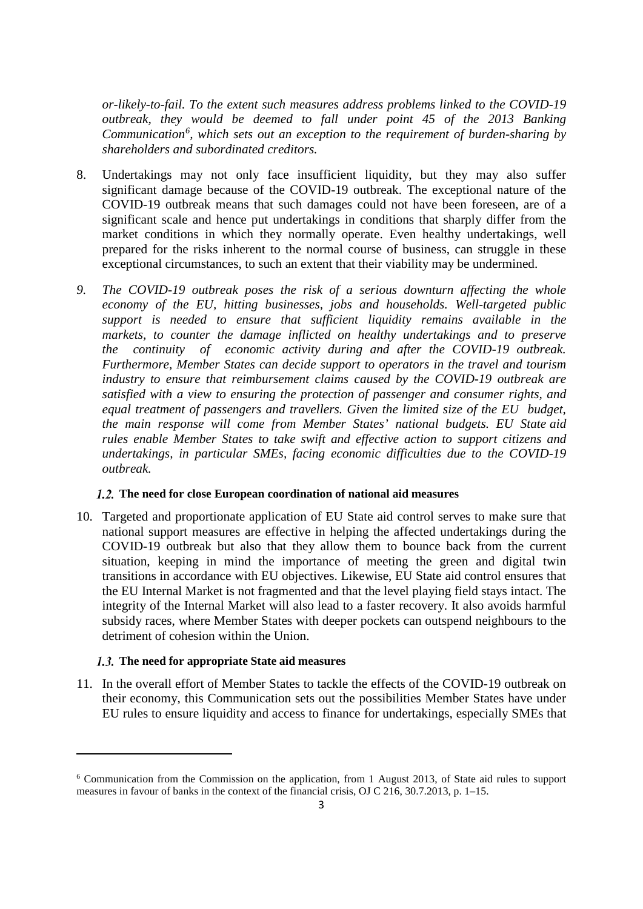*or-likely-to-fail. To the extent such measures address problems linked to the COVID-19 outbreak, they would be deemed to fall under point 45 of the 2013 Banking*  Communication<sup>[6](#page-2-0)</sup>, which sets out an exception to the requirement of burden-sharing by *shareholders and subordinated creditors.*

- 8. Undertakings may not only face insufficient liquidity, but they may also suffer significant damage because of the COVID-19 outbreak. The exceptional nature of the COVID-19 outbreak means that such damages could not have been foreseen, are of a significant scale and hence put undertakings in conditions that sharply differ from the market conditions in which they normally operate. Even healthy undertakings, well prepared for the risks inherent to the normal course of business, can struggle in these exceptional circumstances, to such an extent that their viability may be undermined.
- *9. The COVID-19 outbreak poses the risk of a serious downturn affecting the whole economy of the EU, hitting businesses, jobs and households. Well-targeted public support is needed to ensure that sufficient liquidity remains available in the markets, to counter the damage inflicted on healthy undertakings and to preserve the continuity of economic activity during and after the COVID-19 outbreak. Furthermore, Member States can decide support to operators in the travel and tourism industry to ensure that reimbursement claims caused by the COVID-19 outbreak are satisfied with a view to ensuring the protection of passenger and consumer rights, and equal treatment of passengers and travellers. Given the limited size of the EU budget, the main response will come from Member States' national budgets. EU State aid rules enable Member States to take swift and effective action to support citizens and undertakings, in particular SMEs, facing economic difficulties due to the COVID-19 outbreak.*

### **The need for close European coordination of national aid measures**

10. Targeted and proportionate application of EU State aid control serves to make sure that national support measures are effective in helping the affected undertakings during the COVID-19 outbreak but also that they allow them to bounce back from the current situation, keeping in mind the importance of meeting the green and digital twin transitions in accordance with EU objectives. Likewise, EU State aid control ensures that the EU Internal Market is not fragmented and that the level playing field stays intact. The integrity of the Internal Market will also lead to a faster recovery. It also avoids harmful subsidy races, where Member States with deeper pockets can outspend neighbours to the detriment of cohesion within the Union.

### **The need for appropriate State aid measures**

 $\overline{\phantom{a}}$ 

11. In the overall effort of Member States to tackle the effects of the COVID-19 outbreak on their economy, this Communication sets out the possibilities Member States have under EU rules to ensure liquidity and access to finance for undertakings, especially SMEs that

<span id="page-2-0"></span><sup>6</sup> Communication from the Commission on the application, from 1 August 2013, of State aid rules to support measures in favour of banks in the context of the financial crisis, OJ C 216, 30.7.2013, p. 1–15.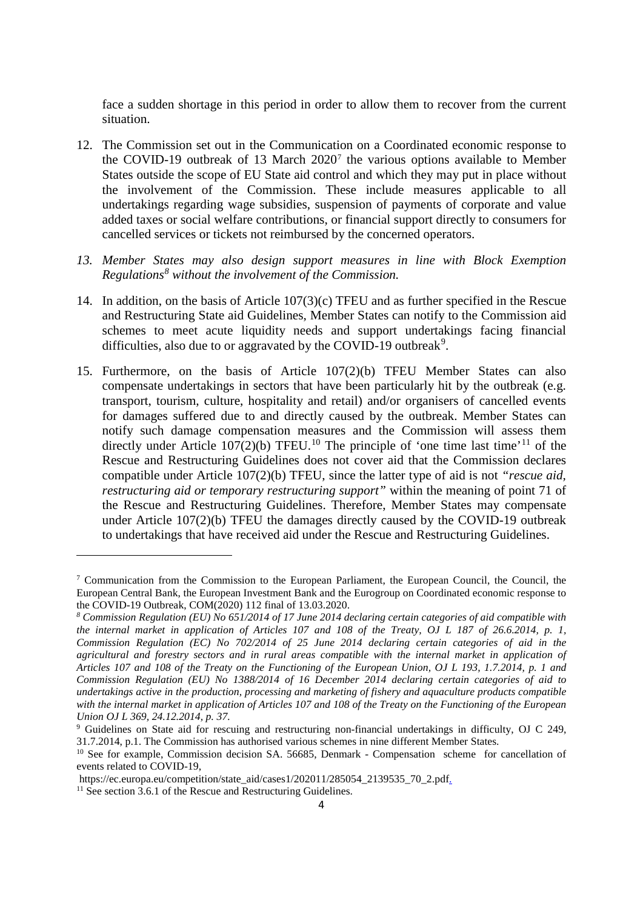face a sudden shortage in this period in order to allow them to recover from the current situation.

- 12. The Commission set out in the Communication on a Coordinated economic response to the COVID-19 outbreak of 13 March  $2020<sup>7</sup>$  $2020<sup>7</sup>$  $2020<sup>7</sup>$  the various options available to Member States outside the scope of EU State aid control and which they may put in place without the involvement of the Commission. These include measures applicable to all undertakings regarding wage subsidies, suspension of payments of corporate and value added taxes or social welfare contributions, or financial support directly to consumers for cancelled services or tickets not reimbursed by the concerned operators.
- *13. Member States may also design support measures in line with Block Exemption Regulations[8](#page-3-1) without the involvement of the Commission.*
- 14. In addition, on the basis of Article 107(3)(c) TFEU and as further specified in the Rescue and Restructuring State aid Guidelines, Member States can notify to the Commission aid schemes to meet acute liquidity needs and support undertakings facing financial difficulties, also due to or aggravated by the COVID-1[9](#page-3-2) outbreak<sup>9</sup>.
- 15. Furthermore, on the basis of Article 107(2)(b) TFEU Member States can also compensate undertakings in sectors that have been particularly hit by the outbreak (e.g. transport, tourism, culture, hospitality and retail) and/or organisers of cancelled events for damages suffered due to and directly caused by the outbreak. Member States can notify such damage compensation measures and the Commission will assess them directly under Article  $107(2)(b)$  $107(2)(b)$  TFEU.<sup>10</sup> The principle of 'one time last time'<sup>[11](#page-3-4)</sup> of the Rescue and Restructuring Guidelines does not cover aid that the Commission declares compatible under Article 107(2)(b) TFEU, since the latter type of aid is not *"rescue aid, restructuring aid or temporary restructuring support"* within the meaning of point 71 of the Rescue and Restructuring Guidelines. Therefore, Member States may compensate under Article 107(2)(b) TFEU the damages directly caused by the COVID-19 outbreak to undertakings that have received aid under the Rescue and Restructuring Guidelines.

<span id="page-3-0"></span><sup>7</sup> Communication from the Commission to the European Parliament, the European Council, the Council, the European Central Bank, the European Investment Bank and the Eurogroup on Coordinated economic response to the COVID-19 Outbreak, COM(2020) 112 final of 13.03.2020.

<span id="page-3-1"></span>*<sup>8</sup> Commission Regulation (EU) No 651/2014 of 17 June 2014 declaring certain categories of aid compatible with the internal market in application of Articles 107 and 108 of the Treaty, OJ L 187 of 26.6.2014, p. 1, Commission Regulation (EC) No 702/2014 of 25 June 2014 declaring certain categories of aid in the agricultural and forestry sectors and in rural areas compatible with the internal market in application of Articles 107 and 108 of the Treaty on the Functioning of the European Union, OJ L 193, 1.7.2014, p. 1 and Commission Regulation (EU) No 1388/2014 of 16 December 2014 declaring certain categories of aid to undertakings active in the production, processing and marketing of fishery and aquaculture products compatible with the internal market in application of Articles 107 and 108 of the Treaty on the Functioning of the European Union OJ L 369, 24.12.2014, p. 37.* 

<span id="page-3-2"></span><sup>9</sup> Guidelines on State aid for rescuing and restructuring non-financial undertakings in difficulty, OJ C 249, 31.7.2014, p.1. The Commission has authorised various schemes in nine different Member States.

<span id="page-3-3"></span><sup>&</sup>lt;sup>10</sup> See for example, Commission decision SA. 56685, Denmark - Compensation scheme for cancellation of events related to COVID-19,

https://ec.europa.eu/competition/state\_aid/cases1/202011/285054\_2139535\_70\_2.pdf.<br><sup>11</sup> See section 3.6.1 of the Rescue and Restructuring Guidelines.

<span id="page-3-4"></span>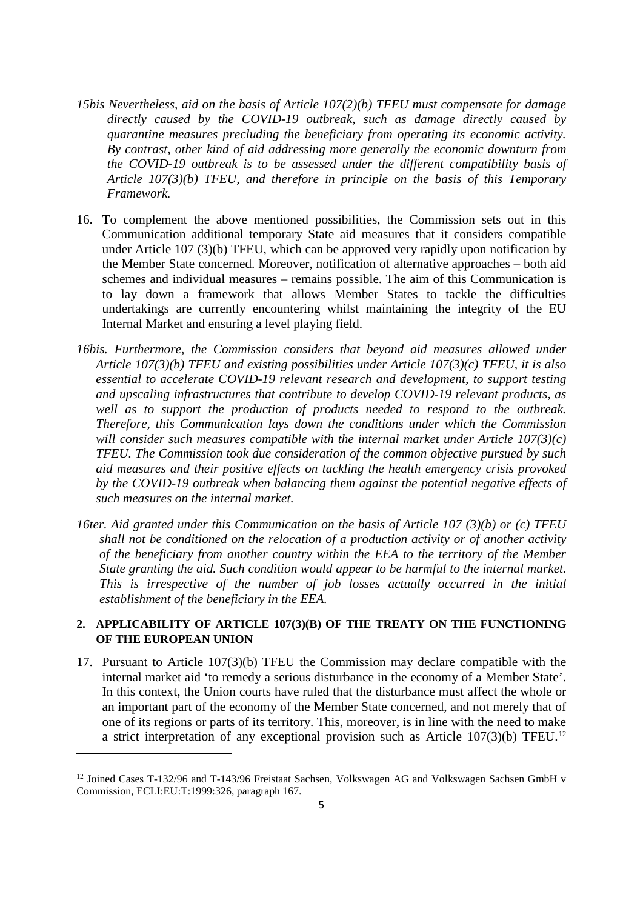- *15bis Nevertheless, aid on the basis of Article 107(2)(b) TFEU must compensate for damage directly caused by the COVID-19 outbreak, such as damage directly caused by quarantine measures precluding the beneficiary from operating its economic activity. By contrast, other kind of aid addressing more generally the economic downturn from the COVID-19 outbreak is to be assessed under the different compatibility basis of Article 107(3)(b) TFEU, and therefore in principle on the basis of this Temporary Framework.*
- 16. To complement the above mentioned possibilities, the Commission sets out in this Communication additional temporary State aid measures that it considers compatible under Article 107 (3)(b) TFEU, which can be approved very rapidly upon notification by the Member State concerned. Moreover, notification of alternative approaches – both aid schemes and individual measures – remains possible. The aim of this Communication is to lay down a framework that allows Member States to tackle the difficulties undertakings are currently encountering whilst maintaining the integrity of the EU Internal Market and ensuring a level playing field.
- *16bis. Furthermore, the Commission considers that beyond aid measures allowed under Article 107(3)(b) TFEU and existing possibilities under Article 107(3)(c) TFEU, it is also essential to accelerate COVID-19 relevant research and development, to support testing and upscaling infrastructures that contribute to develop COVID-19 relevant products, as well as to support the production of products needed to respond to the outbreak. Therefore, this Communication lays down the conditions under which the Commission will consider such measures compatible with the internal market under Article 107(3)(c) TFEU. The Commission took due consideration of the common objective pursued by such aid measures and their positive effects on tackling the health emergency crisis provoked by the COVID-19 outbreak when balancing them against the potential negative effects of such measures on the internal market.*
- *16ter. Aid granted under this Communication on the basis of Article 107 (3)(b) or (c) TFEU shall not be conditioned on the relocation of a production activity or of another activity of the beneficiary from another country within the EEA to the territory of the Member State granting the aid. Such condition would appear to be harmful to the internal market. This is irrespective of the number of job losses actually occurred in the initial establishment of the beneficiary in the EEA.*

### **2. APPLICABILITY OF ARTICLE 107(3)(B) OF THE TREATY ON THE FUNCTIONING OF THE EUROPEAN UNION**

17. Pursuant to Article 107(3)(b) TFEU the Commission may declare compatible with the internal market aid 'to remedy a serious disturbance in the economy of a Member State'. In this context, the Union courts have ruled that the disturbance must affect the whole or an important part of the economy of the Member State concerned, and not merely that of one of its regions or parts of its territory. This, moreover, is in line with the need to make a strict interpretation of any exceptional provision such as Article 107(3)(b) TFEU.[12](#page-5-0)

<sup>&</sup>lt;sup>12</sup> Joined Cases T-132/96 and T-143/96 Freistaat Sachsen, Volkswagen AG and Volkswagen Sachsen GmbH v Commission, ECLI:EU:T:1999:326, paragraph 167.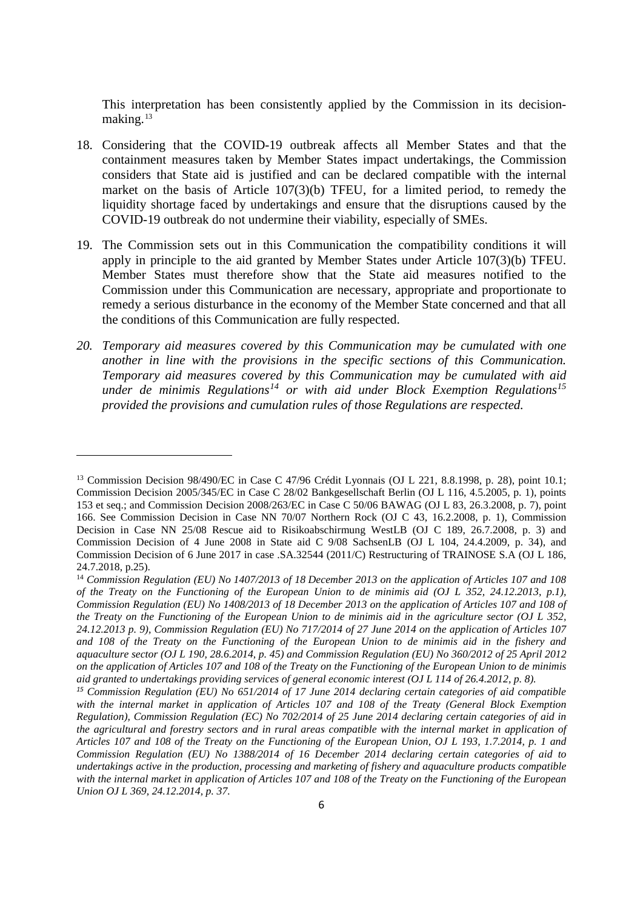This interpretation has been consistently applied by the Commission in its decisionmaking.[13](#page-5-0)

- 18. Considering that the COVID-19 outbreak affects all Member States and that the containment measures taken by Member States impact undertakings, the Commission considers that State aid is justified and can be declared compatible with the internal market on the basis of Article 107(3)(b) TFEU, for a limited period, to remedy the liquidity shortage faced by undertakings and ensure that the disruptions caused by the COVID-19 outbreak do not undermine their viability, especially of SMEs.
- 19. The Commission sets out in this Communication the compatibility conditions it will apply in principle to the aid granted by Member States under Article 107(3)(b) TFEU. Member States must therefore show that the State aid measures notified to the Commission under this Communication are necessary, appropriate and proportionate to remedy a serious disturbance in the economy of the Member State concerned and that all the conditions of this Communication are fully respected.
- *20. Temporary aid measures covered by this Communication may be cumulated with one another in line with the provisions in the specific sections of this Communication. Temporary aid measures covered by this Communication may be cumulated with aid under de minimis Regulations[14](#page-5-1) or with aid under Block Exemption Regulations[15](#page-5-2) provided the provisions and cumulation rules of those Regulations are respected.*

<span id="page-5-0"></span><sup>13</sup> Commission Decision 98/490/EC in Case C 47/96 Crédit Lyonnais (OJ L 221, 8.8.1998, p. 28), point 10.1; Commission Decision 2005/345/EC in Case C 28/02 Bankgesellschaft Berlin (OJ L 116, 4.5.2005, p. 1), points 153 et seq.; and Commission Decision 2008/263/EC in Case C 50/06 BAWAG (OJ L 83, 26.3.2008, p. 7), point 166. See Commission Decision in Case NN 70/07 Northern Rock (OJ C 43, 16.2.2008, p. 1), Commission Decision in Case NN 25/08 Rescue aid to Risikoabschirmung WestLB (OJ C 189, 26.7.2008, p. 3) and Commission Decision of 4 June 2008 in State aid C 9/08 SachsenLB (OJ L 104, 24.4.2009, p. 34), and Commission Decision of 6 June 2017 in case .SA.32544 (2011/C) Restructuring of TRAINOSE S.A (OJ L 186, 24.7.2018, p.25).

<span id="page-5-1"></span><sup>14</sup> *Commission Regulation (EU) No 1407/2013 of 18 December 2013 on the application of Articles 107 and 108 of the Treaty on the Functioning of the European Union to de minimis aid (OJ L 352, 24.12.2013, p.1), Commission Regulation (EU) No 1408/2013 of 18 December 2013 on the application of Articles 107 and 108 of the Treaty on the Functioning of the European Union to de minimis aid in the agriculture sector (OJ L 352, 24.12.2013 p. 9), Commission Regulation (EU) No 717/2014 of 27 June 2014 on the application of Articles 107 and 108 of the Treaty on the Functioning of the European Union to de minimis aid in the fishery and aquaculture sector (OJ L 190, 28.6.2014, p. 45) and Commission Regulation (EU) No 360/2012 of 25 April 2012 on the application of Articles 107 and 108 of the Treaty on the Functioning of the European Union to de minimis aid granted to undertakings providing services of general economic interest (OJ L 114 of 26.4.2012, p. 8).*

<span id="page-5-2"></span>*<sup>15</sup> Commission Regulation (EU) No 651/2014 of 17 June 2014 declaring certain categories of aid compatible*  with the internal market in application of Articles 107 and 108 of the Treaty (General Block Exemption *Regulation), Commission Regulation (EC) No 702/2014 of 25 June 2014 declaring certain categories of aid in the agricultural and forestry sectors and in rural areas compatible with the internal market in application of Articles 107 and 108 of the Treaty on the Functioning of the European Union, OJ L 193, 1.7.2014, p. 1 and Commission Regulation (EU) No 1388/2014 of 16 December 2014 declaring certain categories of aid to undertakings active in the production, processing and marketing of fishery and aquaculture products compatible with the internal market in application of Articles 107 and 108 of the Treaty on the Functioning of the European Union OJ L 369, 24.12.2014, p. 37.*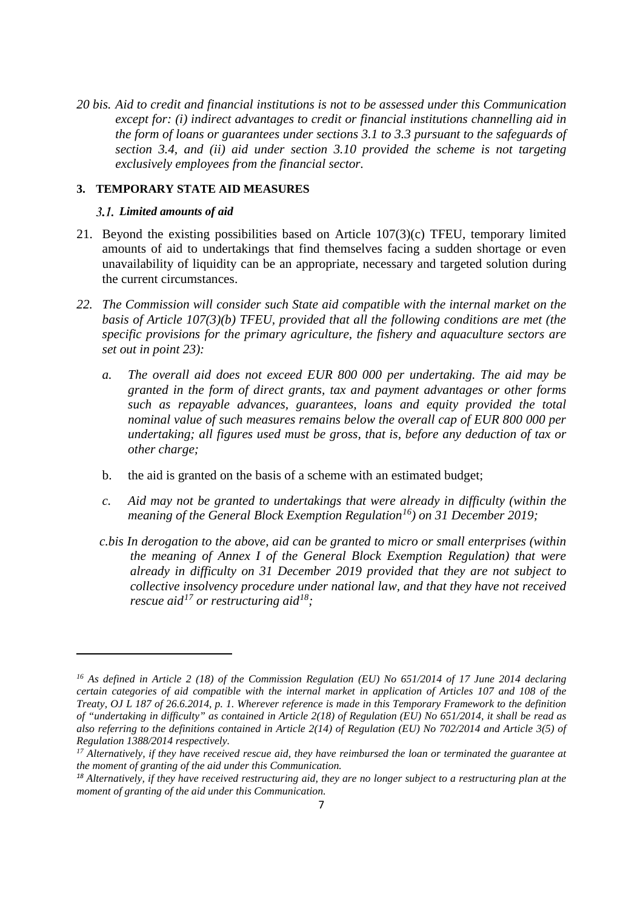*20 bis. Aid to credit and financial institutions is not to be assessed under this Communication except for: (i) indirect advantages to credit or financial institutions channelling aid in the form of loans or guarantees under sections 3.1 to 3.3 pursuant to the safeguards of section 3.4, and (ii) aid under section 3.10 provided the scheme is not targeting exclusively employees from the financial sector.*

### **3. TEMPORARY STATE AID MEASURES**

### *Limited amounts of aid*

- 21. Beyond the existing possibilities based on Article 107(3)(c) TFEU, temporary limited amounts of aid to undertakings that find themselves facing a sudden shortage or even unavailability of liquidity can be an appropriate, necessary and targeted solution during the current circumstances.
- *22. The Commission will consider such State aid compatible with the internal market on the basis of Article 107(3)(b) TFEU, provided that all the following conditions are met (the specific provisions for the primary agriculture, the fishery and aquaculture sectors are set out in point 23):* 
	- *a. The overall aid does not exceed EUR 800 000 per undertaking. The aid may be granted in the form of direct grants, tax and payment advantages or other forms such as repayable advances, guarantees, loans and equity provided the total nominal value of such measures remains below the overall cap of EUR 800 000 per undertaking; all figures used must be gross, that is, before any deduction of tax or other charge;*
	- b. the aid is granted on the basis of a scheme with an estimated budget;
	- *c. Aid may not be granted to undertakings that were already in difficulty (within the meaning of the General Block Exemption Regulation[16](#page-6-0)) on 31 December 2019;*
	- *c.bis In derogation to the above, aid can be granted to micro or small enterprises (within the meaning of Annex I of the General Block Exemption Regulation) that were already in difficulty on 31 December 2019 provided that they are not subject to collective insolvency procedure under national law, and that they have not received rescue aid[17](#page-6-1) or restructuring aid[18;](#page-6-2)*

<span id="page-6-0"></span>*<sup>16</sup> As defined in Article 2 (18) of the Commission Regulation (EU) No 651/2014 of 17 June 2014 declaring certain categories of aid compatible with the internal market in application of Articles 107 and 108 of the Treaty, OJ L 187 of 26.6.2014, p. 1. Wherever reference is made in this Temporary Framework to the definition of "undertaking in difficulty" as contained in Article 2(18) of Regulation (EU) No 651/2014, it shall be read as also referring to the definitions contained in Article 2(14) of Regulation (EU) No 702/2014 and Article 3(5) of Regulation 1388/2014 respectively.*

<span id="page-6-1"></span>*<sup>17</sup> Alternatively, if they have received rescue aid, they have reimbursed the loan or terminated the guarantee at the moment of granting of the aid under this Communication.*

<span id="page-6-2"></span>*<sup>18</sup> Alternatively, if they have received restructuring aid, they are no longer subject to a restructuring plan at the moment of granting of the aid under this Communication.*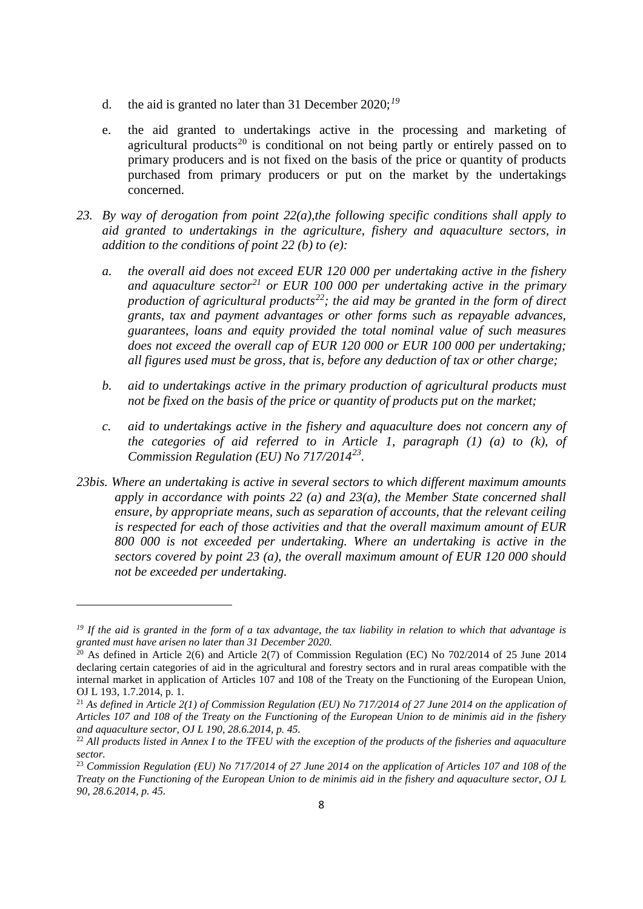- d. the aid is granted no later than 31 December 2020;*[19](#page-7-0)*
- e. the aid granted to undertakings active in the processing and marketing of agricultural products<sup>[20](#page-7-1)</sup> is conditional on not being partly or entirely passed on to primary producers and is not fixed on the basis of the price or quantity of products purchased from primary producers or put on the market by the undertakings concerned.
- *23. By way of derogation from point 22(a),the following specific conditions shall apply to aid granted to undertakings in the agriculture, fishery and aquaculture sectors, in addition to the conditions of point 22 (b) to (e):* 
	- *a. the overall aid does not exceed EUR 120 000 per undertaking active in the fishery and aquaculture sector[21](#page-7-2) or EUR 100 000 per undertaking active in the primary production of agricultural products[22](#page-7-3); the aid may be granted in the form of direct grants, tax and payment advantages or other forms such as repayable advances, guarantees, loans and equity provided the total nominal value of such measures does not exceed the overall cap of EUR 120 000 or EUR 100 000 per undertaking; all figures used must be gross, that is, before any deduction of tax or other charge;*
	- *b. aid to undertakings active in the primary production of agricultural products must not be fixed on the basis of the price or quantity of products put on the market;*
	- *c. aid to undertakings active in the fishery and aquaculture does not concern any of the categories of aid referred to in Article 1, paragraph (1) (a) to (k), of Commission Regulation (EU) No 717/2014[23.](#page-7-4)*
- *23bis. Where an undertaking is active in several sectors to which different maximum amounts apply in accordance with points 22 (a) and 23(a), the Member State concerned shall ensure, by appropriate means, such as separation of accounts, that the relevant ceiling is respected for each of those activities and that the overall maximum amount of EUR 800 000 is not exceeded per undertaking. Where an undertaking is active in the sectors covered by point 23 (a), the overall maximum amount of EUR 120 000 should not be exceeded per undertaking.*

<span id="page-7-0"></span>*<sup>19</sup> If the aid is granted in the form of a tax advantage, the tax liability in relation to which that advantage is granted must have arisen no later than 31 December 2020.*

<span id="page-7-1"></span> $20$  As defined in Article 2(6) and Article 2(7) of Commission Regulation (EC) No 702/2014 of 25 June 2014 declaring certain categories of aid in the agricultural and forestry sectors and in rural areas compatible with the internal market in application of Articles 107 and 108 of the Treaty on the Functioning of the European Union, OJ L 193, 1.7.2014, p. 1.

<span id="page-7-2"></span><sup>&</sup>lt;sup>21</sup> As defined in Article 2(1) of Commission Regulation (EU) No 717/2014 of 27 June 2014 on the application of *Articles 107 and 108 of the Treaty on the Functioning of the European Union to de minimis aid in the fishery and aquaculture sector, OJ L 190, 28.6.2014, p. 45.*

<span id="page-7-3"></span><sup>&</sup>lt;sup>22</sup> All products listed in Annex I to the TFEU with the exception of the products of the fisheries and aquaculture *sector.*

<span id="page-7-4"></span><sup>23</sup> *Commission Regulation (EU) No 717/2014 of 27 June 2014 on the application of Articles 107 and 108 of the Treaty on the Functioning of the European Union to de minimis aid in the fishery and aquaculture sector, OJ L 90, 28.6.2014, p. 45.*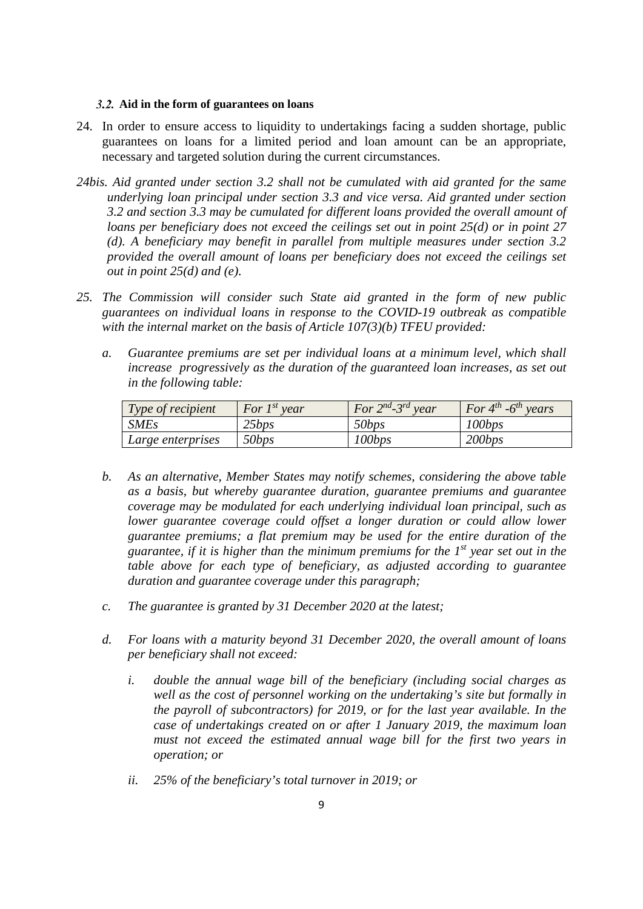### **Aid in the form of guarantees on loans**

- 24. In order to ensure access to liquidity to undertakings facing a sudden shortage, public guarantees on loans for a limited period and loan amount can be an appropriate, necessary and targeted solution during the current circumstances.
- *24bis. Aid granted under section 3.2 shall not be cumulated with aid granted for the same underlying loan principal under section 3.3 and vice versa. Aid granted under section 3.2 and section 3.3 may be cumulated for different loans provided the overall amount of loans per beneficiary does not exceed the ceilings set out in point 25(d) or in point 27 (d). A beneficiary may benefit in parallel from multiple measures under section 3.2 provided the overall amount of loans per beneficiary does not exceed the ceilings set out in point 25(d) and (e).*
- *25. The Commission will consider such State aid granted in the form of new public guarantees on individual loans in response to the COVID-19 outbreak as compatible with the internal market on the basis of Article 107(3)(b) TFEU provided:* 
	- *a. Guarantee premiums are set per individual loans at a minimum level, which shall increase progressively as the duration of the guaranteed loan increases, as set out in the following table:*

| $\mid$ Type of recipient | For $I^{st}$ year | For $2^{nd}$ -3 <sup>rd</sup> year | For $4^{th}$ -6 <sup>th</sup> years |
|--------------------------|-------------------|------------------------------------|-------------------------------------|
| <b>SMEs</b>              | 25bps             | 50bps                              | 100bps                              |
| Large enterprises        | 50bps             | 100bps                             | 200bps                              |

- *b. As an alternative, Member States may notify schemes, considering the above table as a basis, but whereby guarantee duration, guarantee premiums and guarantee coverage may be modulated for each underlying individual loan principal, such as lower guarantee coverage could offset a longer duration or could allow lower guarantee premiums; a flat premium may be used for the entire duration of the guarantee, if it is higher than the minimum premiums for the 1st year set out in the table above for each type of beneficiary, as adjusted according to guarantee duration and guarantee coverage under this paragraph;*
- *c. The guarantee is granted by 31 December 2020 at the latest;*
- *d. For loans with a maturity beyond 31 December 2020, the overall amount of loans per beneficiary shall not exceed:*
	- *i. double the annual wage bill of the beneficiary (including social charges as well as the cost of personnel working on the undertaking's site but formally in the payroll of subcontractors) for 2019, or for the last year available. In the case of undertakings created on or after 1 January 2019, the maximum loan must not exceed the estimated annual wage bill for the first two years in operation; or*
	- *ii. 25% of the beneficiary's total turnover in 2019; or*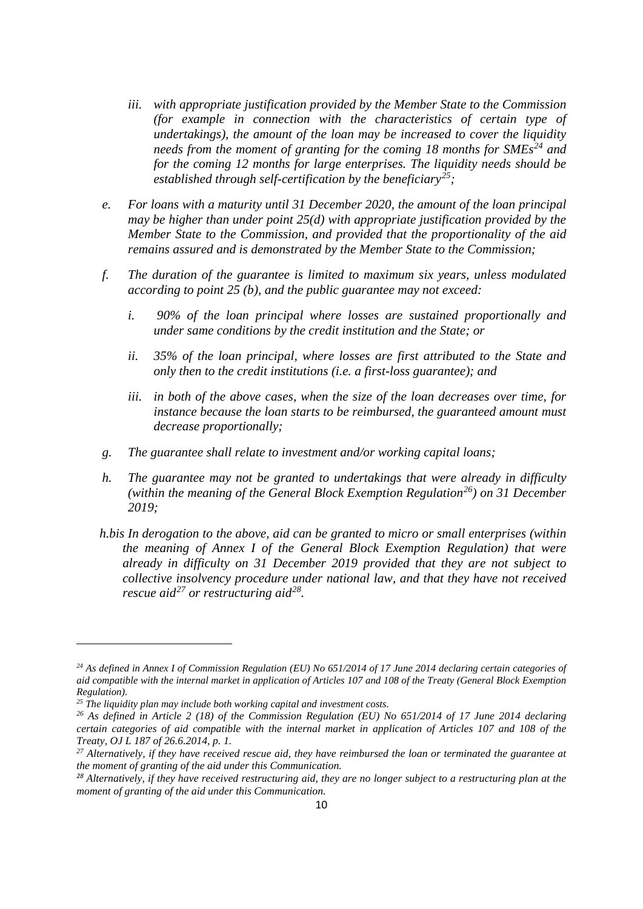- *iii. with appropriate justification provided by the Member State to the Commission (for example in connection with the characteristics of certain type of undertakings), the amount of the loan may be increased to cover the liquidity needs from the moment of granting for the coming 18 months for SMEs[24](#page-9-0) and for the coming 12 months for large enterprises. The liquidity needs should be established through self-certification by the beneficiary[25](#page-9-1);*
- *e. For loans with a maturity until 31 December 2020, the amount of the loan principal may be higher than under point 25(d) with appropriate justification provided by the Member State to the Commission, and provided that the proportionality of the aid remains assured and is demonstrated by the Member State to the Commission;*
- *f. The duration of the guarantee is limited to maximum six years, unless modulated according to point 25 (b), and the public guarantee may not exceed:*
	- *i. 90% of the loan principal where losses are sustained proportionally and under same conditions by the credit institution and the State; or*
	- *ii. 35% of the loan principal, where losses are first attributed to the State and only then to the credit institutions (i.e. a first-loss guarantee); and*
	- *iii. in both of the above cases, when the size of the loan decreases over time, for instance because the loan starts to be reimbursed, the guaranteed amount must decrease proportionally;*
- *g. The guarantee shall relate to investment and/or working capital loans;*
- *h. The guarantee may not be granted to undertakings that were already in difficulty (within the meaning of the General Block Exemption Regulation[26\)](#page-9-2) on 31 December 2019;*
- *h.bis In derogation to the above, aid can be granted to micro or small enterprises (within the meaning of Annex I of the General Block Exemption Regulation) that were already in difficulty on 31 December 2019 provided that they are not subject to collective insolvency procedure under national law, and that they have not received rescue aid[27](#page-9-3) or restructuring aid[28.](#page-9-4)*

<span id="page-9-0"></span>*<sup>24</sup> As defined in Annex I of Commission Regulation (EU) No 651/2014 of 17 June 2014 declaring certain categories of aid compatible with the internal market in application of Articles 107 and 108 of the Treaty (General Block Exemption Regulation).* 

<span id="page-9-1"></span>*<sup>25</sup> The liquidity plan may include both working capital and investment costs.*

<span id="page-9-2"></span>*<sup>26</sup> As defined in Article 2 (18) of the Commission Regulation (EU) No 651/2014 of 17 June 2014 declaring certain categories of aid compatible with the internal market in application of Articles 107 and 108 of the Treaty, OJ L 187 of 26.6.2014, p. 1.*

<span id="page-9-3"></span>*<sup>27</sup> Alternatively, if they have received rescue aid, they have reimbursed the loan or terminated the guarantee at the moment of granting of the aid under this Communication.*

<span id="page-9-4"></span>*<sup>28</sup> Alternatively, if they have received restructuring aid, they are no longer subject to a restructuring plan at the moment of granting of the aid under this Communication.*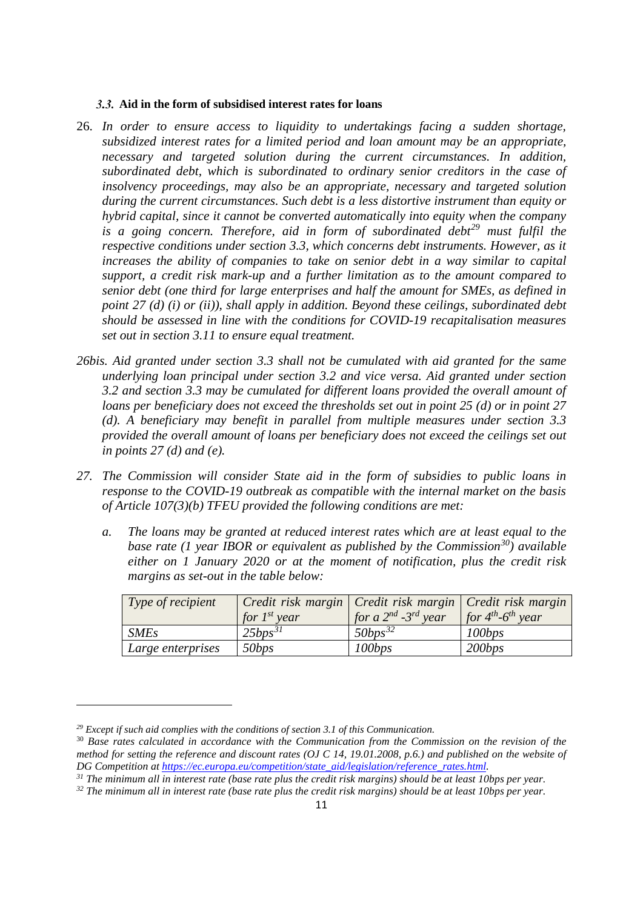### **Aid in the form of subsidised interest rates for loans**

- 26. *In order to ensure access to liquidity to undertakings facing a sudden shortage, subsidized interest rates for a limited period and loan amount may be an appropriate, necessary and targeted solution during the current circumstances. In addition, subordinated debt, which is subordinated to ordinary senior creditors in the case of insolvency proceedings, may also be an appropriate, necessary and targeted solution during the current circumstances. Such debt is a less distortive instrument than equity or hybrid capital, since it cannot be converted automatically into equity when the company is a going concern. Therefore, aid in form of subordinated debt[29](#page-10-0) must fulfil the respective conditions under section 3.3, which concerns debt instruments. However, as it increases the ability of companies to take on senior debt in a way similar to capital support, a credit risk mark-up and a further limitation as to the amount compared to senior debt (one third for large enterprises and half the amount for SMEs, as defined in point 27 (d) (i) or (ii)), shall apply in addition. Beyond these ceilings, subordinated debt should be assessed in line with the conditions for COVID-19 recapitalisation measures set out in section 3.11 to ensure equal treatment.*
- *26bis. Aid granted under section 3.3 shall not be cumulated with aid granted for the same underlying loan principal under section 3.2 and vice versa. Aid granted under section 3.2 and section 3.3 may be cumulated for different loans provided the overall amount of loans per beneficiary does not exceed the thresholds set out in point 25 (d) or in point 27 (d). A beneficiary may benefit in parallel from multiple measures under section 3.3 provided the overall amount of loans per beneficiary does not exceed the ceilings set out in points 27 (d) and (e).*
- *27. The Commission will consider State aid in the form of subsidies to public loans in response to the COVID-19 outbreak as compatible with the internal market on the basis of Article 107(3)(b) TFEU provided the following conditions are met:*
	- *a. The loans may be granted at reduced interest rates which are at least equal to the base rate (1 year IBOR or equivalent as published by the Commission[30](#page-10-1)) available either on 1 January 2020 or at the moment of notification, plus the credit risk margins as set-out in the table below:*

| Type of recipient        | Credit risk margin   Credit risk margin   Credit risk margin<br>for $I^{st}$ year | for a $2^{nd}$ - 3 <sup>rd</sup> year | for $4^{th}$ - $6^{th}$ year |
|--------------------------|-----------------------------------------------------------------------------------|---------------------------------------|------------------------------|
| <b>SMEs</b>              | $25bps^{31}$                                                                      | $50bps^{32}$                          | 100bps                       |
| <i>Large enterprises</i> | 50bps                                                                             | 100bps                                | 200bps                       |

 $\overline{\phantom{a}}$ 

<span id="page-10-2"></span>*<sup>31</sup> The minimum all in interest rate (base rate plus the credit risk margins) should be at least 10bps per year.*

<span id="page-10-0"></span>*<sup>29</sup> Except if such aid complies with the conditions of section 3.1 of this Communication.*

<span id="page-10-1"></span><sup>30</sup> *Base rates calculated in accordance with the Communication from the Commission on the revision of the method for setting the reference and discount rates (OJ C 14, 19.01.2008, p.6.) and published on the website of DG Competition at [https://ec.europa.eu/competition/state\\_aid/legislation/reference\\_rates.html.](https://ec.europa.eu/competition/state_aid/legislation/reference_rates.html)*

<span id="page-10-3"></span>*<sup>32</sup> The minimum all in interest rate (base rate plus the credit risk margins) should be at least 10bps per year.*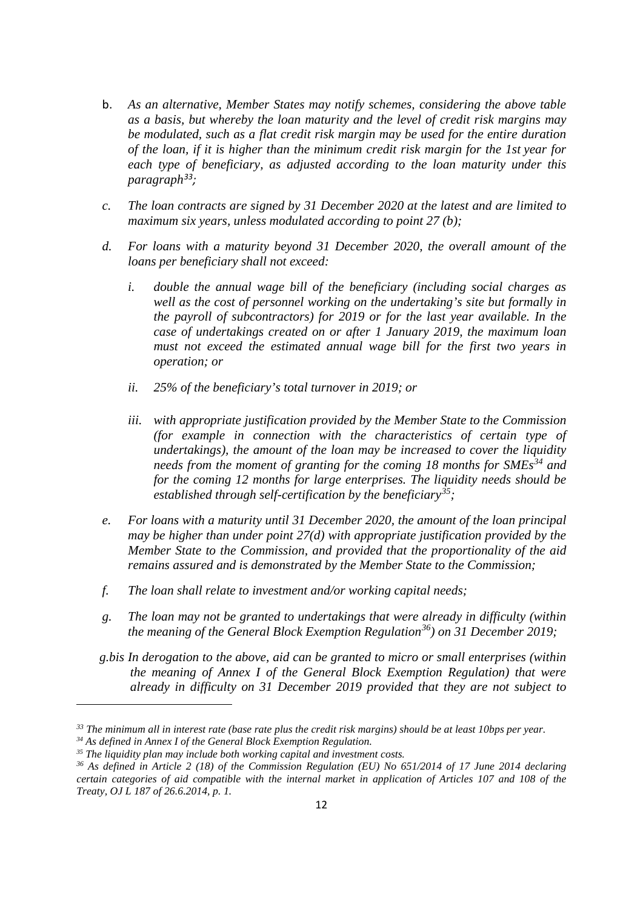- b. *As an alternative, Member States may notify schemes, considering the above table as a basis, but whereby the loan maturity and the level of credit risk margins may be modulated, such as a flat credit risk margin may be used for the entire duration of the loan, if it is higher than the minimum credit risk margin for the 1st year for each type of beneficiary, as adjusted according to the loan maturity under this paragraph[33;](#page-11-0)*
- *c. The loan contracts are signed by 31 December 2020 at the latest and are limited to maximum six years, unless modulated according to point 27 (b);*
- *d. For loans with a maturity beyond 31 December 2020, the overall amount of the loans per beneficiary shall not exceed:*
	- *i. double the annual wage bill of the beneficiary (including social charges as well as the cost of personnel working on the undertaking's site but formally in the payroll of subcontractors) for 2019 or for the last year available. In the case of undertakings created on or after 1 January 2019, the maximum loan must not exceed the estimated annual wage bill for the first two years in operation; or*
	- *ii. 25% of the beneficiary's total turnover in 2019; or*
	- *iii. with appropriate justification provided by the Member State to the Commission (for example in connection with the characteristics of certain type of undertakings), the amount of the loan may be increased to cover the liquidity needs from the moment of granting for the coming 18 months for SMEs[34](#page-11-1) and for the coming 12 months for large enterprises. The liquidity needs should be established through self-certification by the beneficiary[35](#page-11-2);*
- *e. For loans with a maturity until 31 December 2020, the amount of the loan principal may be higher than under point 27(d) with appropriate justification provided by the Member State to the Commission, and provided that the proportionality of the aid remains assured and is demonstrated by the Member State to the Commission;*
- *f. The loan shall relate to investment and/or working capital needs;*
- *g. The loan may not be granted to undertakings that were already in difficulty (within the meaning of the General Block Exemption Regulation[36\)](#page-11-3) on 31 December 2019;*
- *g.bis In derogation to the above, aid can be granted to micro or small enterprises (within the meaning of Annex I of the General Block Exemption Regulation) that were already in difficulty on 31 December 2019 provided that they are not subject to*

**.** 

<span id="page-11-0"></span>*<sup>33</sup> The minimum all in interest rate (base rate plus the credit risk margins) should be at least 10bps per year.*

<span id="page-11-2"></span><span id="page-11-1"></span><sup>&</sup>lt;sup>35</sup> The liquidity plan may include both working capital and investment costs.

<span id="page-11-3"></span>*<sup>36</sup> As defined in Article 2 (18) of the Commission Regulation (EU) No 651/2014 of 17 June 2014 declaring certain categories of aid compatible with the internal market in application of Articles 107 and 108 of the Treaty, OJ L 187 of 26.6.2014, p. 1.*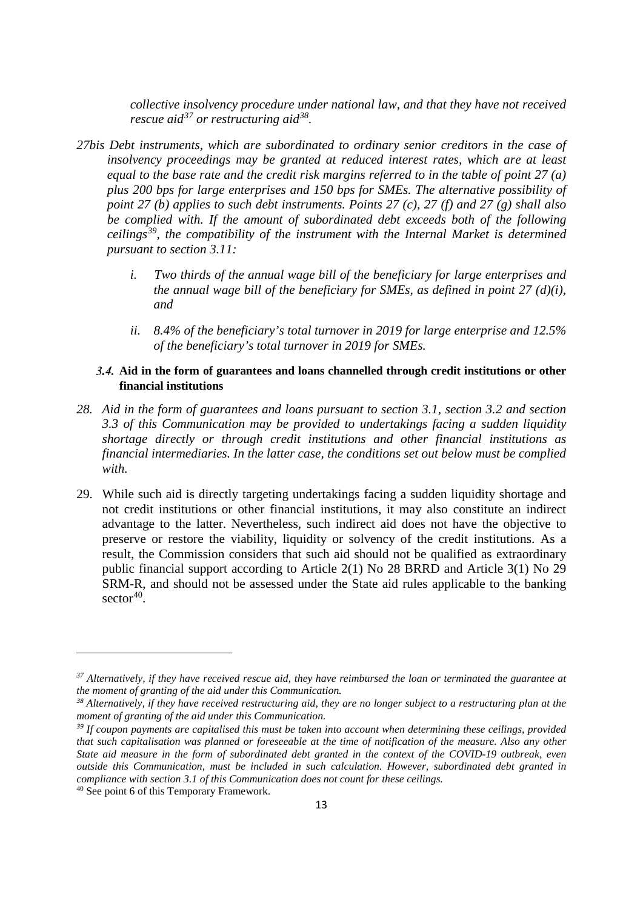*collective insolvency procedure under national law, and that they have not received rescue aid[37](#page-12-0) or restructuring aid[38.](#page-12-1)*

- *27bis Debt instruments, which are subordinated to ordinary senior creditors in the case of insolvency proceedings may be granted at reduced interest rates, which are at least equal to the base rate and the credit risk margins referred to in the table of point 27 (a) plus 200 bps for large enterprises and 150 bps for SMEs. The alternative possibility of point 27 (b) applies to such debt instruments. Points 27 (c), 27 (f) and 27 (g) shall also be complied with. If the amount of subordinated debt exceeds both of the following ceilings[39](#page-12-2), the compatibility of the instrument with the Internal Market is determined pursuant to section 3.11:* 
	- *i. Two thirds of the annual wage bill of the beneficiary for large enterprises and the annual wage bill of the beneficiary for SMEs, as defined in point 27 (d)(i), and*
	- *ii. 8.4% of the beneficiary's total turnover in 2019 for large enterprise and 12.5% of the beneficiary's total turnover in 2019 for SMEs.*

### **Aid in the form of guarantees and loans channelled through credit institutions or other financial institutions**

- *28. Aid in the form of guarantees and loans pursuant to section 3.1, section 3.2 and section 3.3 of this Communication may be provided to undertakings facing a sudden liquidity shortage directly or through credit institutions and other financial institutions as financial intermediaries. In the latter case, the conditions set out below must be complied with.*
- 29. While such aid is directly targeting undertakings facing a sudden liquidity shortage and not credit institutions or other financial institutions, it may also constitute an indirect advantage to the latter. Nevertheless, such indirect aid does not have the objective to preserve or restore the viability, liquidity or solvency of the credit institutions. As a result, the Commission considers that such aid should not be qualified as extraordinary public financial support according to Article 2(1) No 28 BRRD and Article 3(1) No 29 SRM-R, and should not be assessed under the State aid rules applicable to the banking  $sector<sup>40</sup>$  $sector<sup>40</sup>$  $sector<sup>40</sup>$ .

<span id="page-12-0"></span>*<sup>37</sup> Alternatively, if they have received rescue aid, they have reimbursed the loan or terminated the guarantee at the moment of granting of the aid under this Communication.*

<span id="page-12-1"></span>*<sup>38</sup> Alternatively, if they have received restructuring aid, they are no longer subject to a restructuring plan at the moment of granting of the aid under this Communication.*

<span id="page-12-2"></span>*<sup>39</sup> If coupon payments are capitalised this must be taken into account when determining these ceilings, provided that such capitalisation was planned or foreseeable at the time of notification of the measure. Also any other State aid measure in the form of subordinated debt granted in the context of the COVID-19 outbreak, even outside this Communication, must be included in such calculation. However, subordinated debt granted in compliance with section 3.1 of this Communication does not count for these ceilings.*

<span id="page-12-3"></span><sup>40</sup> See point 6 of this Temporary Framework.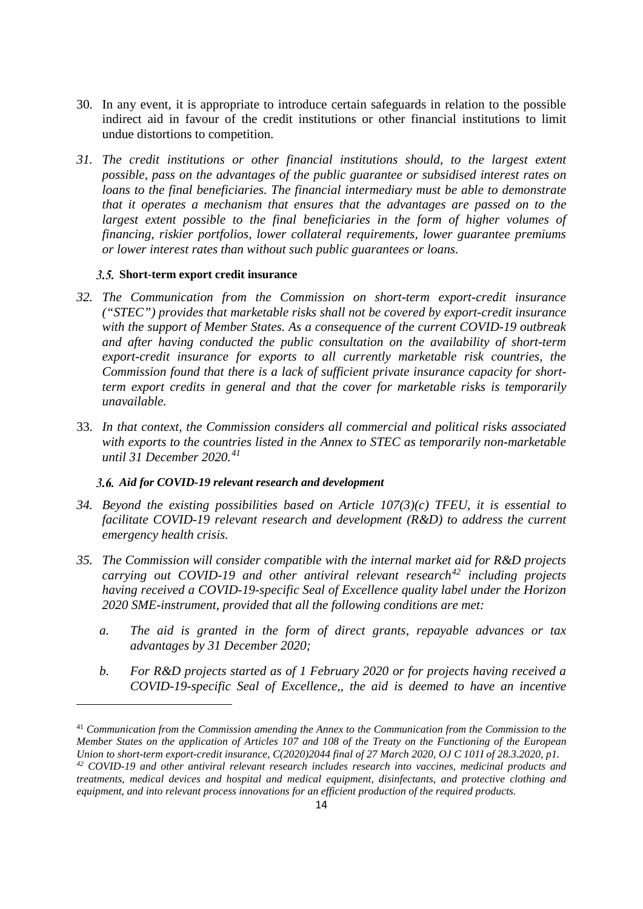- 30. In any event, it is appropriate to introduce certain safeguards in relation to the possible indirect aid in favour of the credit institutions or other financial institutions to limit undue distortions to competition.
- *31. The credit institutions or other financial institutions should, to the largest extent possible, pass on the advantages of the public guarantee or subsidised interest rates on loans to the final beneficiaries. The financial intermediary must be able to demonstrate that it operates a mechanism that ensures that the advantages are passed on to the largest extent possible to the final beneficiaries in the form of higher volumes of financing, riskier portfolios, lower collateral requirements, lower guarantee premiums or lower interest rates than without such public guarantees or loans.*

### **Short-term export credit insurance**

**.** 

- *32. The Communication from the Commission on short-term export-credit insurance ("STEC") provides that marketable risks shall not be covered by export-credit insurance with the support of Member States. As a consequence of the current COVID-19 outbreak and after having conducted the public consultation on the availability of short-term export-credit insurance for exports to all currently marketable risk countries, the Commission found that there is a lack of sufficient private insurance capacity for shortterm export credits in general and that the cover for marketable risks is temporarily unavailable.*
- 33. *In that context, the Commission considers all commercial and political risks associated with exports to the countries listed in the Annex to STEC as temporarily non-marketable until 31 December 2020.[41](#page-13-0)*

### *Aid for COVID-19 relevant research and development*

- *34. Beyond the existing possibilities based on Article 107(3)(c) TFEU, it is essential to facilitate COVID-19 relevant research and development (R&D) to address the current emergency health crisis.*
- *35. The Commission will consider compatible with the internal market aid for R&D projects carrying out COVID-19 and other antiviral relevant research[42](#page-13-1) including projects having received a COVID-19-specific Seal of Excellence quality label under the Horizon 2020 SME-instrument, provided that all the following conditions are met:*
	- *a. The aid is granted in the form of direct grants, repayable advances or tax advantages by 31 December 2020;*
	- *b. For R&D projects started as of 1 February 2020 or for projects having received a COVID-19-specific Seal of Excellence,, the aid is deemed to have an incentive*

<span id="page-13-1"></span><span id="page-13-0"></span><sup>41</sup> *Communication from the Commission amending the Annex to the Communication from the Commission to the Member States on the application of Articles 107 and 108 of the Treaty on the Functioning of the European Union to short-term export-credit insurance, C(2020)2044 final of 27 March 2020, OJ C 101I of 28.3.2020, p1. <sup>42</sup> COVID-19 and other antiviral relevant research includes research into vaccines, medicinal products and treatments, medical devices and hospital and medical equipment, disinfectants, and protective clothing and*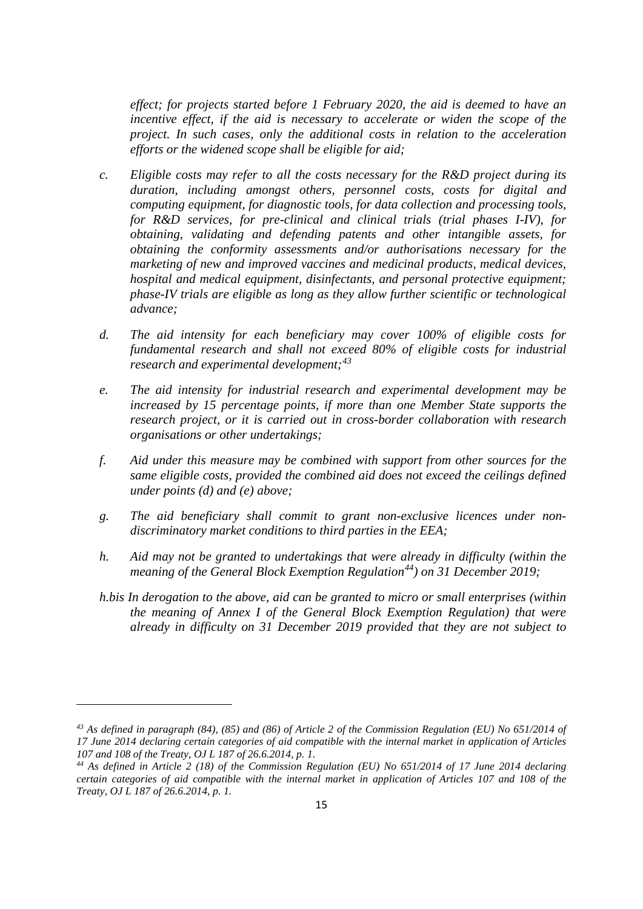*effect; for projects started before 1 February 2020, the aid is deemed to have an incentive effect, if the aid is necessary to accelerate or widen the scope of the project. In such cases, only the additional costs in relation to the acceleration efforts or the widened scope shall be eligible for aid;*

- *c. Eligible costs may refer to all the costs necessary for the R&D project during its duration, including amongst others, personnel costs, costs for digital and computing equipment, for diagnostic tools, for data collection and processing tools, for R&D services, for pre-clinical and clinical trials (trial phases I-IV), for obtaining, validating and defending patents and other intangible assets, for obtaining the conformity assessments and/or authorisations necessary for the marketing of new and improved vaccines and medicinal products, medical devices, hospital and medical equipment, disinfectants, and personal protective equipment; phase-IV trials are eligible as long as they allow further scientific or technological advance;*
- *d. The aid intensity for each beneficiary may cover 100% of eligible costs for fundamental research and shall not exceed 80% of eligible costs for industrial research and experimental development;[43](#page-14-0)*
- *e. The aid intensity for industrial research and experimental development may be increased by 15 percentage points, if more than one Member State supports the research project, or it is carried out in cross-border collaboration with research organisations or other undertakings;*
- *f. Aid under this measure may be combined with support from other sources for the same eligible costs, provided the combined aid does not exceed the ceilings defined under points (d) and (e) above;*
- *g. The aid beneficiary shall commit to grant non-exclusive licences under nondiscriminatory market conditions to third parties in the EEA;*
- *h. Aid may not be granted to undertakings that were already in difficulty (within the meaning of the General Block Exemption Regulation[44](#page-14-1)) on 31 December 2019;*
- *h.bis In derogation to the above, aid can be granted to micro or small enterprises (within the meaning of Annex I of the General Block Exemption Regulation) that were already in difficulty on 31 December 2019 provided that they are not subject to*

**.** 

<span id="page-14-0"></span>*<sup>43</sup> As defined in paragraph (84), (85) and (86) of Article 2 of the Commission Regulation (EU) No 651/2014 of 17 June 2014 declaring certain categories of aid compatible with the internal market in application of Articles 107 and 108 of the Treaty, OJ L 187 of 26.6.2014, p. 1.*

<span id="page-14-1"></span>*<sup>44</sup> As defined in Article 2 (18) of the Commission Regulation (EU) No 651/2014 of 17 June 2014 declaring certain categories of aid compatible with the internal market in application of Articles 107 and 108 of the Treaty, OJ L 187 of 26.6.2014, p. 1.*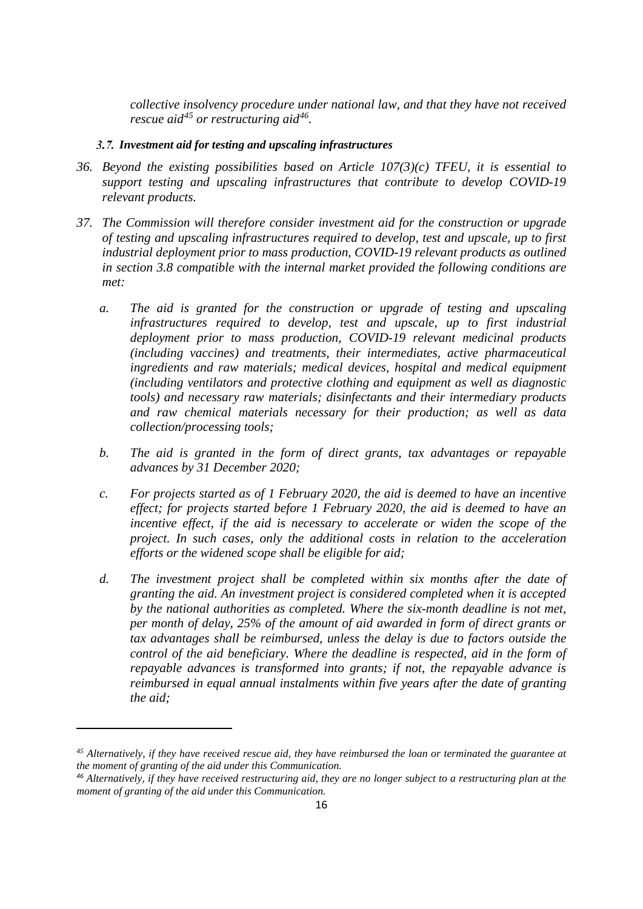*collective insolvency procedure under national law, and that they have not received rescue aid[45](#page-15-0) or restructuring aid[46.](#page-15-1)*

### *Investment aid for testing and upscaling infrastructures*

- *36. Beyond the existing possibilities based on Article 107(3)(c) TFEU, it is essential to support testing and upscaling infrastructures that contribute to develop COVID-19 relevant products.*
- *37. The Commission will therefore consider investment aid for the construction or upgrade of testing and upscaling infrastructures required to develop, test and upscale, up to first industrial deployment prior to mass production, COVID-19 relevant products as outlined in section 3.8 compatible with the internal market provided the following conditions are met:*
	- *a. The aid is granted for the construction or upgrade of testing and upscaling infrastructures required to develop, test and upscale, up to first industrial deployment prior to mass production, COVID-19 relevant medicinal products (including vaccines) and treatments, their intermediates, active pharmaceutical ingredients and raw materials; medical devices, hospital and medical equipment (including ventilators and protective clothing and equipment as well as diagnostic tools) and necessary raw materials; disinfectants and their intermediary products and raw chemical materials necessary for their production; as well as data collection/processing tools;*
	- *b. The aid is granted in the form of direct grants, tax advantages or repayable advances by 31 December 2020;*
	- *c. For projects started as of 1 February 2020, the aid is deemed to have an incentive effect; for projects started before 1 February 2020, the aid is deemed to have an incentive effect, if the aid is necessary to accelerate or widen the scope of the project. In such cases, only the additional costs in relation to the acceleration efforts or the widened scope shall be eligible for aid;*
	- *d. The investment project shall be completed within six months after the date of granting the aid. An investment project is considered completed when it is accepted by the national authorities as completed. Where the six-month deadline is not met, per month of delay, 25% of the amount of aid awarded in form of direct grants or tax advantages shall be reimbursed, unless the delay is due to factors outside the control of the aid beneficiary. Where the deadline is respected, aid in the form of repayable advances is transformed into grants; if not, the repayable advance is reimbursed in equal annual instalments within five years after the date of granting the aid;*

<span id="page-15-0"></span>*<sup>45</sup> Alternatively, if they have received rescue aid, they have reimbursed the loan or terminated the guarantee at the moment of granting of the aid under this Communication.*

<span id="page-15-1"></span>*<sup>46</sup> Alternatively, if they have received restructuring aid, they are no longer subject to a restructuring plan at the moment of granting of the aid under this Communication.*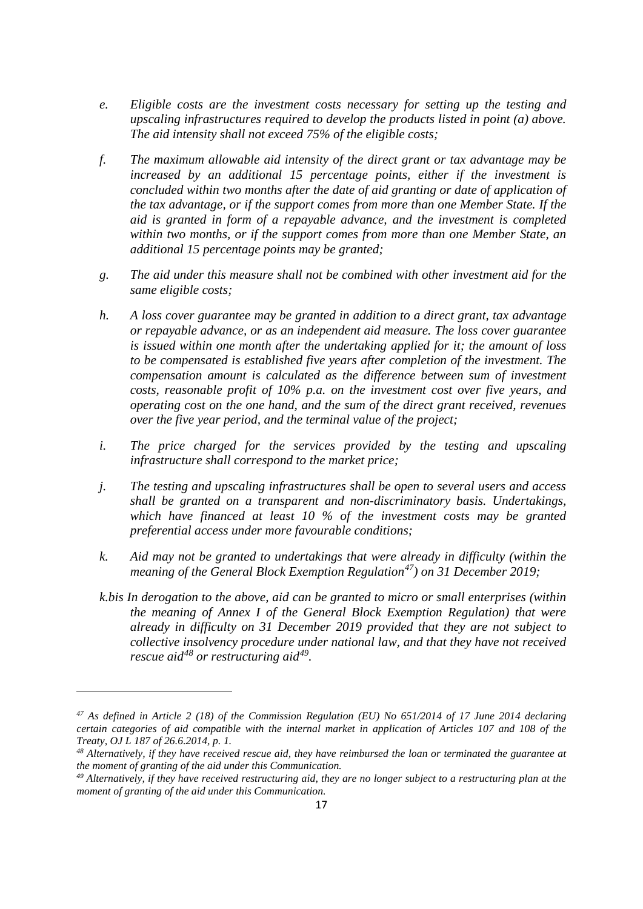- *e. Eligible costs are the investment costs necessary for setting up the testing and upscaling infrastructures required to develop the products listed in point (a) above. The aid intensity shall not exceed 75% of the eligible costs;*
- *f. The maximum allowable aid intensity of the direct grant or tax advantage may be increased by an additional 15 percentage points, either if the investment is concluded within two months after the date of aid granting or date of application of the tax advantage, or if the support comes from more than one Member State. If the aid is granted in form of a repayable advance, and the investment is completed within two months, or if the support comes from more than one Member State, an additional 15 percentage points may be granted;*
- *g. The aid under this measure shall not be combined with other investment aid for the same eligible costs;*
- *h. A loss cover guarantee may be granted in addition to a direct grant, tax advantage or repayable advance, or as an independent aid measure. The loss cover guarantee is issued within one month after the undertaking applied for it; the amount of loss to be compensated is established five years after completion of the investment. The compensation amount is calculated as the difference between sum of investment costs, reasonable profit of 10% p.a. on the investment cost over five years, and operating cost on the one hand, and the sum of the direct grant received, revenues over the five year period, and the terminal value of the project;*
- *i.* The price charged for the services provided by the testing and upscaling *infrastructure shall correspond to the market price;*
- *j. The testing and upscaling infrastructures shall be open to several users and access shall be granted on a transparent and non-discriminatory basis. Undertakings, which have financed at least 10 % of the investment costs may be granted preferential access under more favourable conditions;*
- *k. Aid may not be granted to undertakings that were already in difficulty (within the meaning of the General Block Exemption Regulation[47](#page-16-0)) on 31 December 2019;*
- *k.bis In derogation to the above, aid can be granted to micro or small enterprises (within the meaning of Annex I of the General Block Exemption Regulation) that were already in difficulty on 31 December 2019 provided that they are not subject to collective insolvency procedure under national law, and that they have not received rescue aid[48](#page-16-1) or restructuring aid[49.](#page-16-2)*

<u>.</u>

<span id="page-16-0"></span>*<sup>47</sup> As defined in Article 2 (18) of the Commission Regulation (EU) No 651/2014 of 17 June 2014 declaring certain categories of aid compatible with the internal market in application of Articles 107 and 108 of the Treaty, OJ L 187 of 26.6.2014, p. 1.*

<span id="page-16-1"></span>*<sup>48</sup> Alternatively, if they have received rescue aid, they have reimbursed the loan or terminated the guarantee at the moment of granting of the aid under this Communication.*

<span id="page-16-2"></span>*<sup>49</sup> Alternatively, if they have received restructuring aid, they are no longer subject to a restructuring plan at the moment of granting of the aid under this Communication.*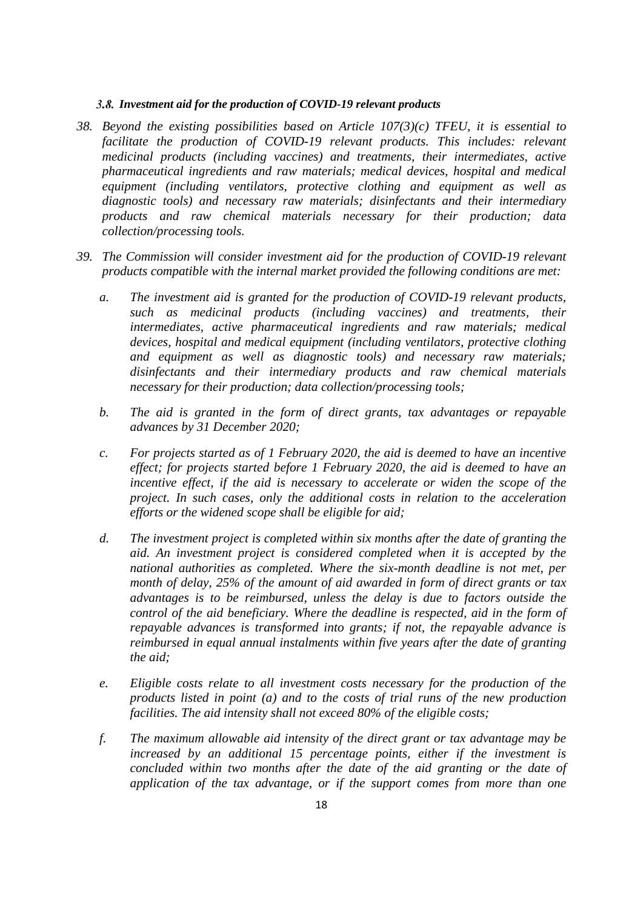### *Investment aid for the production of COVID-19 relevant products*

- *38. Beyond the existing possibilities based on Article 107(3)(c) TFEU, it is essential to facilitate the production of COVID-19 relevant products. This includes: relevant medicinal products (including vaccines) and treatments, their intermediates, active pharmaceutical ingredients and raw materials; medical devices, hospital and medical equipment (including ventilators, protective clothing and equipment as well as diagnostic tools) and necessary raw materials; disinfectants and their intermediary products and raw chemical materials necessary for their production; data collection/processing tools.*
- *39. The Commission will consider investment aid for the production of COVID-19 relevant products compatible with the internal market provided the following conditions are met:*
	- *a. The investment aid is granted for the production of COVID-19 relevant products, such as medicinal products (including vaccines) and treatments, their intermediates, active pharmaceutical ingredients and raw materials; medical devices, hospital and medical equipment (including ventilators, protective clothing and equipment as well as diagnostic tools) and necessary raw materials; disinfectants and their intermediary products and raw chemical materials necessary for their production; data collection/processing tools;*
	- *b. The aid is granted in the form of direct grants, tax advantages or repayable advances by 31 December 2020;*
	- *c. For projects started as of 1 February 2020, the aid is deemed to have an incentive effect; for projects started before 1 February 2020, the aid is deemed to have an incentive effect, if the aid is necessary to accelerate or widen the scope of the project. In such cases, only the additional costs in relation to the acceleration efforts or the widened scope shall be eligible for aid;*
	- *d. The investment project is completed within six months after the date of granting the aid. An investment project is considered completed when it is accepted by the national authorities as completed. Where the six-month deadline is not met, per month of delay, 25% of the amount of aid awarded in form of direct grants or tax advantages is to be reimbursed, unless the delay is due to factors outside the control of the aid beneficiary. Where the deadline is respected, aid in the form of repayable advances is transformed into grants; if not, the repayable advance is reimbursed in equal annual instalments within five years after the date of granting the aid;*
	- *e. Eligible costs relate to all investment costs necessary for the production of the products listed in point (a) and to the costs of trial runs of the new production facilities. The aid intensity shall not exceed 80% of the eligible costs;*
	- *f. The maximum allowable aid intensity of the direct grant or tax advantage may be increased by an additional 15 percentage points, either if the investment is concluded within two months after the date of the aid granting or the date of application of the tax advantage, or if the support comes from more than one*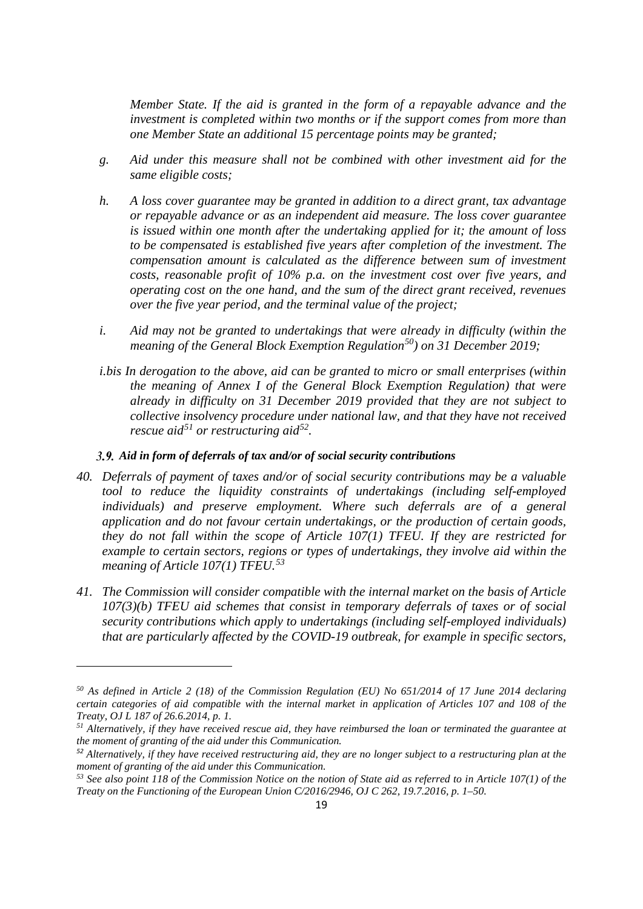*Member State. If the aid is granted in the form of a repayable advance and the investment is completed within two months or if the support comes from more than one Member State an additional 15 percentage points may be granted;*

- *g. Aid under this measure shall not be combined with other investment aid for the same eligible costs;*
- *h. A loss cover guarantee may be granted in addition to a direct grant, tax advantage or repayable advance or as an independent aid measure. The loss cover guarantee is issued within one month after the undertaking applied for it; the amount of loss to be compensated is established five years after completion of the investment. The compensation amount is calculated as the difference between sum of investment costs, reasonable profit of 10% p.a. on the investment cost over five years, and operating cost on the one hand, and the sum of the direct grant received, revenues over the five year period, and the terminal value of the project;*
- *i. Aid may not be granted to undertakings that were already in difficulty (within the meaning of the General Block Exemption Regulation[50](#page-18-0)) on 31 December 2019;*
- *i.bis In derogation to the above, aid can be granted to micro or small enterprises (within the meaning of Annex I of the General Block Exemption Regulation) that were already in difficulty on 31 December 2019 provided that they are not subject to collective insolvency procedure under national law, and that they have not received rescue aid[51](#page-18-1) or restructuring aid[52.](#page-18-2)*

### *Aid in form of deferrals of tax and/or of social security contributions*

**.** 

- *40. Deferrals of payment of taxes and/or of social security contributions may be a valuable tool to reduce the liquidity constraints of undertakings (including self-employed individuals) and preserve employment. Where such deferrals are of a general application and do not favour certain undertakings, or the production of certain goods, they do not fall within the scope of Article 107(1) TFEU. If they are restricted for example to certain sectors, regions or types of undertakings, they involve aid within the meaning of Article 107(1) TFEU.[53](#page-18-3)*
- *41. The Commission will consider compatible with the internal market on the basis of Article 107(3)(b) TFEU aid schemes that consist in temporary deferrals of taxes or of social security contributions which apply to undertakings (including self-employed individuals) that are particularly affected by the COVID-19 outbreak, for example in specific sectors,*

<span id="page-18-0"></span>*<sup>50</sup> As defined in Article 2 (18) of the Commission Regulation (EU) No 651/2014 of 17 June 2014 declaring certain categories of aid compatible with the internal market in application of Articles 107 and 108 of the Treaty, OJ L 187 of 26.6.2014, p. 1.*

<span id="page-18-1"></span>*<sup>51</sup> Alternatively, if they have received rescue aid, they have reimbursed the loan or terminated the guarantee at the moment of granting of the aid under this Communication.*

<span id="page-18-2"></span>*<sup>52</sup> Alternatively, if they have received restructuring aid, they are no longer subject to a restructuring plan at the moment of granting of the aid under this Communication.*

<span id="page-18-3"></span>*<sup>53</sup> See also point 118 of the Commission Notice on the notion of State aid as referred to in Article 107(1) of the Treaty on the Functioning of the European Union C/2016/2946, OJ C 262, 19.7.2016, p. 1–50.*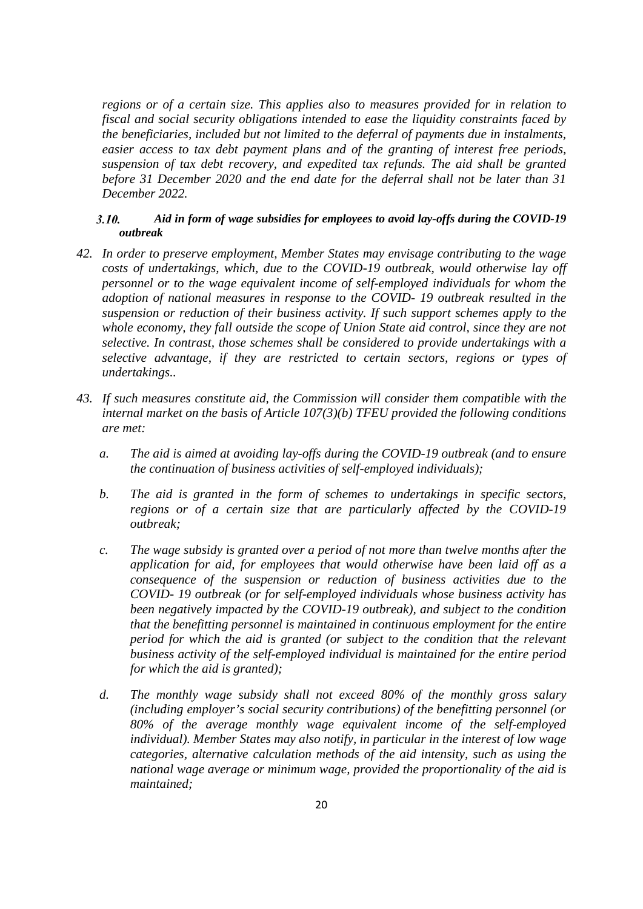*regions or of a certain size. This applies also to measures provided for in relation to fiscal and social security obligations intended to ease the liquidity constraints faced by the beneficiaries, included but not limited to the deferral of payments due in instalments, easier access to tax debt payment plans and of the granting of interest free periods, suspension of tax debt recovery, and expedited tax refunds. The aid shall be granted before 31 December 2020 and the end date for the deferral shall not be later than 31 December 2022.*

### *Aid in form of wage subsidies for employees to avoid lay-offs during the COVID-19*   $3.10.$ *outbreak*

- *42. In order to preserve employment, Member States may envisage contributing to the wage costs of undertakings, which, due to the COVID-19 outbreak, would otherwise lay off personnel or to the wage equivalent income of self-employed individuals for whom the adoption of national measures in response to the COVID- 19 outbreak resulted in the suspension or reduction of their business activity. If such support schemes apply to the whole economy, they fall outside the scope of Union State aid control, since they are not selective. In contrast, those schemes shall be considered to provide undertakings with a selective advantage, if they are restricted to certain sectors, regions or types of undertakings..*
- *43. If such measures constitute aid, the Commission will consider them compatible with the internal market on the basis of Article 107(3)(b) TFEU provided the following conditions are met:* 
	- *a. The aid is aimed at avoiding lay-offs during the COVID-19 outbreak (and to ensure the continuation of business activities of self-employed individuals);*
	- *b. The aid is granted in the form of schemes to undertakings in specific sectors, regions or of a certain size that are particularly affected by the COVID-19 outbreak;*
	- *c. The wage subsidy is granted over a period of not more than twelve months after the application for aid, for employees that would otherwise have been laid off as a consequence of the suspension or reduction of business activities due to the COVID- 19 outbreak (or for self-employed individuals whose business activity has been negatively impacted by the COVID-19 outbreak), and subject to the condition that the benefitting personnel is maintained in continuous employment for the entire period for which the aid is granted (or subject to the condition that the relevant business activity of the self-employed individual is maintained for the entire period for which the aid is granted);*
	- *d. The monthly wage subsidy shall not exceed 80% of the monthly gross salary (including employer's social security contributions) of the benefitting personnel (or 80% of the average monthly wage equivalent income of the self-employed individual). Member States may also notify, in particular in the interest of low wage categories, alternative calculation methods of the aid intensity, such as using the national wage average or minimum wage, provided the proportionality of the aid is maintained;*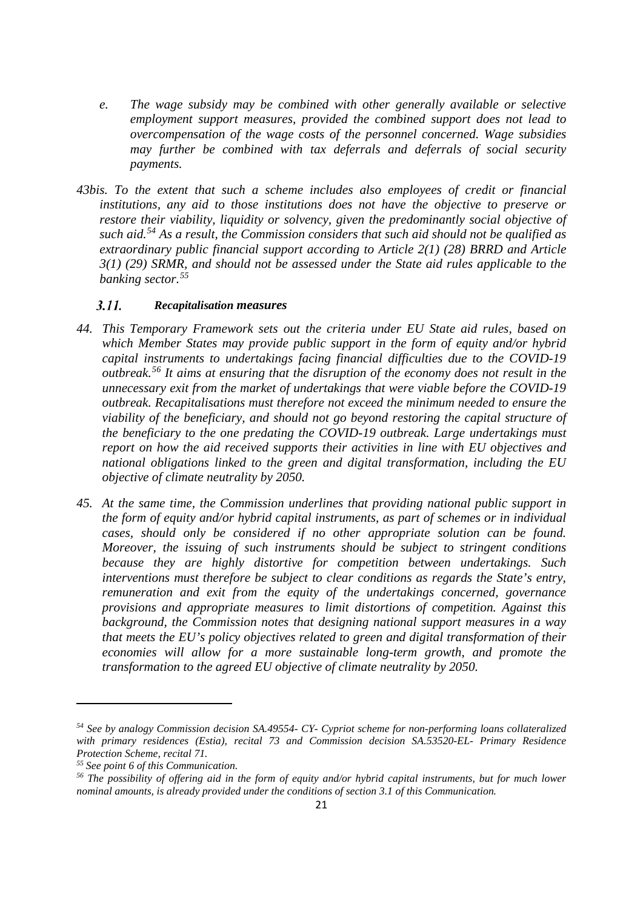- *e. The wage subsidy may be combined with other generally available or selective employment support measures, provided the combined support does not lead to overcompensation of the wage costs of the personnel concerned. Wage subsidies may further be combined with tax deferrals and deferrals of social security payments.*
- *43bis. To the extent that such a scheme includes also employees of credit or financial institutions, any aid to those institutions does not have the objective to preserve or restore their viability, liquidity or solvency, given the predominantly social objective of such aid.[54](#page-20-0) As a result, the Commission considers that such aid should not be qualified as extraordinary public financial support according to Article 2(1) (28) BRRD and Article 3(1) (29) SRMR, and should not be assessed under the State aid rules applicable to the banking sector. [55](#page-20-1)*

#### $3.11.$ *Recapitalisation measures*

- *44. This Temporary Framework sets out the criteria under EU State aid rules, based on which Member States may provide public support in the form of equity and/or hybrid capital instruments to undertakings facing financial difficulties due to the COVID-19 outbreak.[56](#page-20-2) It aims at ensuring that the disruption of the economy does not result in the unnecessary exit from the market of undertakings that were viable before the COVID-19 outbreak. Recapitalisations must therefore not exceed the minimum needed to ensure the viability of the beneficiary, and should not go beyond restoring the capital structure of the beneficiary to the one predating the COVID-19 outbreak. Large undertakings must report on how the aid received supports their activities in line with EU objectives and national obligations linked to the green and digital transformation, including the EU objective of climate neutrality by 2050.*
- *45. At the same time, the Commission underlines that providing national public support in the form of equity and/or hybrid capital instruments, as part of schemes or in individual cases, should only be considered if no other appropriate solution can be found. Moreover, the issuing of such instruments should be subject to stringent conditions because they are highly distortive for competition between undertakings. Such interventions must therefore be subject to clear conditions as regards the State's entry, remuneration and exit from the equity of the undertakings concerned, governance provisions and appropriate measures to limit distortions of competition. Against this background, the Commission notes that designing national support measures in a way that meets the EU's policy objectives related to green and digital transformation of their economies will allow for a more sustainable long-term growth, and promote the transformation to the agreed EU objective of climate neutrality by 2050.*

**.** 

<span id="page-20-0"></span>*<sup>54</sup> See by analogy Commission decision SA.49554- CY- Cypriot scheme for non-performing loans collateralized with primary residences (Estia), recital 73 and Commission decision SA.53520-EL- Primary Residence Protection Scheme, recital 71.*

<span id="page-20-1"></span>*<sup>55</sup> See point 6 of this Communication.*

<span id="page-20-2"></span>*<sup>56</sup> The possibility of offering aid in the form of equity and/or hybrid capital instruments, but for much lower nominal amounts, is already provided under the conditions of section 3.1 of this Communication.*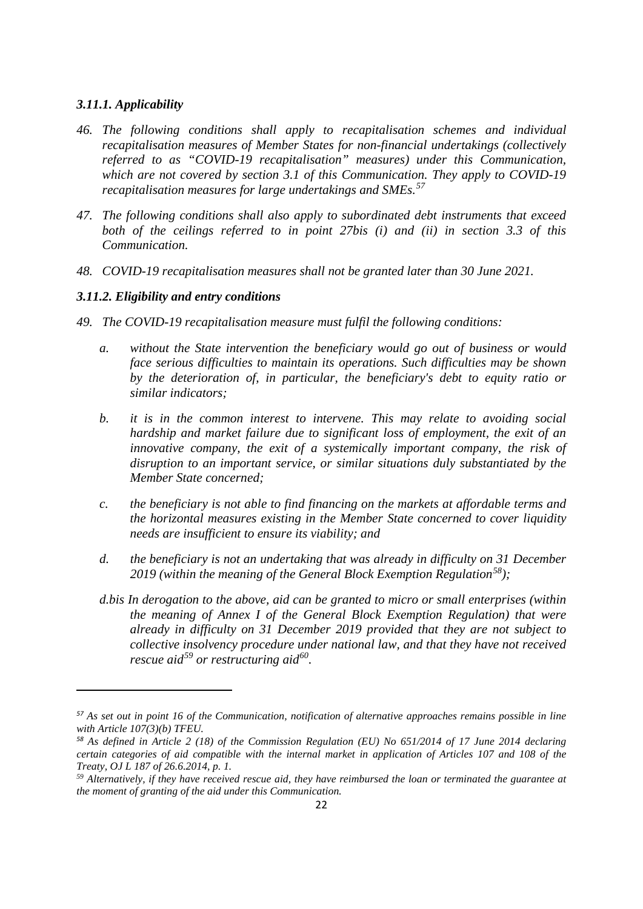### *3.11.1. Applicability*

<u>.</u>

- *46. The following conditions shall apply to recapitalisation schemes and individual recapitalisation measures of Member States for non-financial undertakings (collectively referred to as "COVID-19 recapitalisation" measures) under this Communication, which are not covered by section 3.1 of this Communication. They apply to COVID-19 recapitalisation measures for large undertakings and SMEs.[57](#page-21-0)*
- *47. The following conditions shall also apply to subordinated debt instruments that exceed both of the ceilings referred to in point 27bis (i) and (ii) in section 3.3 of this Communication.*
- *48. COVID-19 recapitalisation measures shall not be granted later than 30 June 2021.*

### *3.11.2. Eligibility and entry conditions*

- *49. The COVID-19 recapitalisation measure must fulfil the following conditions:*
	- *a. without the State intervention the beneficiary would go out of business or would face serious difficulties to maintain its operations. Such difficulties may be shown by the deterioration of, in particular, the beneficiary's debt to equity ratio or similar indicators;*
	- *b. it is in the common interest to intervene. This may relate to avoiding social hardship and market failure due to significant loss of employment, the exit of an innovative company, the exit of a systemically important company, the risk of disruption to an important service, or similar situations duly substantiated by the Member State concerned;*
	- *c. the beneficiary is not able to find financing on the markets at affordable terms and the horizontal measures existing in the Member State concerned to cover liquidity needs are insufficient to ensure its viability; and*
	- *d. the beneficiary is not an undertaking that was already in difficulty on 31 December 2019 (within the meaning of the General Block Exemption Regulation[58\)](#page-21-1);*
	- *d.bis In derogation to the above, aid can be granted to micro or small enterprises (within the meaning of Annex I of the General Block Exemption Regulation) that were already in difficulty on 31 December 2019 provided that they are not subject to collective insolvency procedure under national law, and that they have not received rescue aid[59](#page-21-2) or restructuring aid[60.](#page-21-3)*

<span id="page-21-3"></span><span id="page-21-0"></span>*<sup>57</sup> As set out in point 16 of the Communication, notification of alternative approaches remains possible in line with Article 107(3)(b) TFEU.*

<span id="page-21-1"></span>*<sup>58</sup> As defined in Article 2 (18) of the Commission Regulation (EU) No 651/2014 of 17 June 2014 declaring certain categories of aid compatible with the internal market in application of Articles 107 and 108 of the Treaty, OJ L 187 of 26.6.2014, p. 1.*

<span id="page-21-2"></span>*<sup>59</sup> Alternatively, if they have received rescue aid, they have reimbursed the loan or terminated the guarantee at the moment of granting of the aid under this Communication.*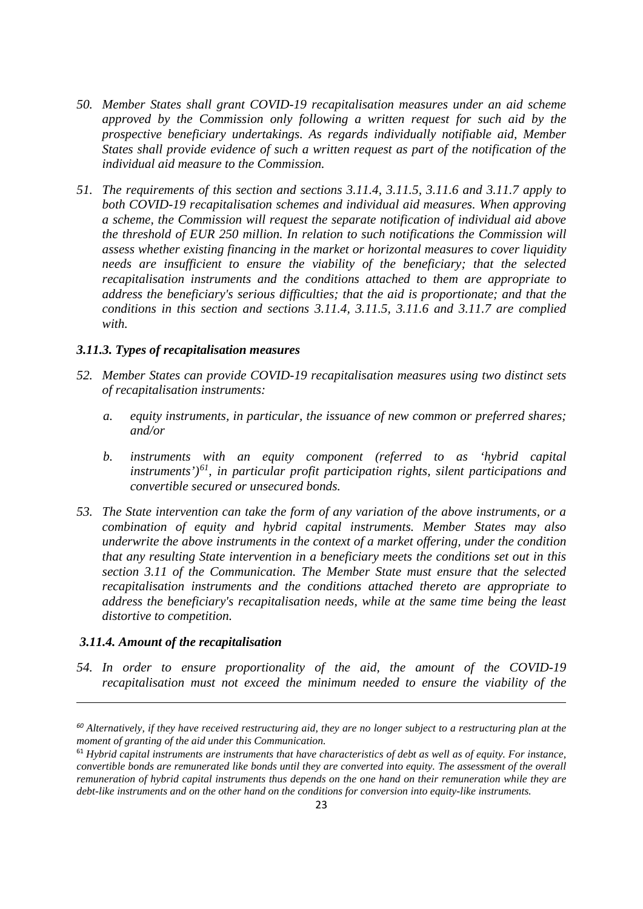- *50. Member States shall grant COVID-19 recapitalisation measures under an aid scheme approved by the Commission only following a written request for such aid by the prospective beneficiary undertakings. As regards individually notifiable aid, Member States shall provide evidence of such a written request as part of the notification of the individual aid measure to the Commission.*
- *51. The requirements of this section and sections 3.11.4, 3.11.5, 3.11.6 and 3.11.7 apply to both COVID-19 recapitalisation schemes and individual aid measures. When approving a scheme, the Commission will request the separate notification of individual aid above the threshold of EUR 250 million. In relation to such notifications the Commission will assess whether existing financing in the market or horizontal measures to cover liquidity needs are insufficient to ensure the viability of the beneficiary; that the selected recapitalisation instruments and the conditions attached to them are appropriate to address the beneficiary's serious difficulties; that the aid is proportionate; and that the conditions in this section and sections 3.11.4, 3.11.5, 3.11.6 and 3.11.7 are complied with.*

### *3.11.3. Types of recapitalisation measures*

- *52. Member States can provide COVID-19 recapitalisation measures using two distinct sets of recapitalisation instruments:* 
	- *a. equity instruments, in particular, the issuance of new common or preferred shares; and/or*
	- *b. instruments with an equity component (referred to as 'hybrid capital instruments')[61](#page-22-0), in particular profit participation rights, silent participations and convertible secured or unsecured bonds.*
- *53. The State intervention can take the form of any variation of the above instruments, or a combination of equity and hybrid capital instruments. Member States may also underwrite the above instruments in the context of a market offering, under the condition that any resulting State intervention in a beneficiary meets the conditions set out in this section 3.11 of the Communication. The Member State must ensure that the selected recapitalisation instruments and the conditions attached thereto are appropriate to address the beneficiary's recapitalisation needs, while at the same time being the least distortive to competition.*

### *3.11.4. Amount of the recapitalisation*

**.** 

*54. In order to ensure proportionality of the aid, the amount of the COVID-19 recapitalisation must not exceed the minimum needed to ensure the viability of the* 

*<sup>60</sup> Alternatively, if they have received restructuring aid, they are no longer subject to a restructuring plan at the moment of granting of the aid under this Communication.*

<span id="page-22-0"></span><sup>61</sup> *Hybrid capital instruments are instruments that have characteristics of debt as well as of equity. For instance, convertible bonds are remunerated like bonds until they are converted into equity. The assessment of the overall remuneration of hybrid capital instruments thus depends on the one hand on their remuneration while they are debt-like instruments and on the other hand on the conditions for conversion into equity-like instruments.*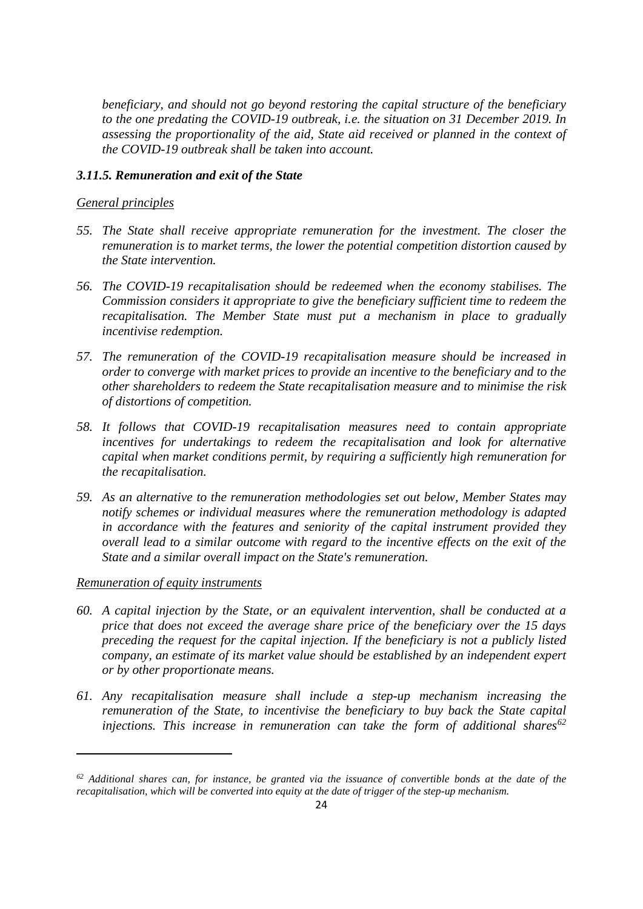*beneficiary, and should not go beyond restoring the capital structure of the beneficiary to the one predating the COVID-19 outbreak, i.e. the situation on 31 December 2019. In assessing the proportionality of the aid, State aid received or planned in the context of the COVID-19 outbreak shall be taken into account.* 

### *3.11.5. Remuneration and exit of the State*

### *General principles*

- *55. The State shall receive appropriate remuneration for the investment. The closer the remuneration is to market terms, the lower the potential competition distortion caused by the State intervention.*
- *56. The COVID-19 recapitalisation should be redeemed when the economy stabilises. The Commission considers it appropriate to give the beneficiary sufficient time to redeem the recapitalisation. The Member State must put a mechanism in place to gradually incentivise redemption.*
- *57. The remuneration of the COVID-19 recapitalisation measure should be increased in order to converge with market prices to provide an incentive to the beneficiary and to the other shareholders to redeem the State recapitalisation measure and to minimise the risk of distortions of competition.*
- *58. It follows that COVID-19 recapitalisation measures need to contain appropriate incentives for undertakings to redeem the recapitalisation and look for alternative capital when market conditions permit, by requiring a sufficiently high remuneration for the recapitalisation.*
- *59. As an alternative to the remuneration methodologies set out below, Member States may notify schemes or individual measures where the remuneration methodology is adapted in accordance with the features and seniority of the capital instrument provided they overall lead to a similar outcome with regard to the incentive effects on the exit of the State and a similar overall impact on the State's remuneration.*

### *Remuneration of equity instruments*

- *60. A capital injection by the State, or an equivalent intervention, shall be conducted at a price that does not exceed the average share price of the beneficiary over the 15 days preceding the request for the capital injection. If the beneficiary is not a publicly listed company, an estimate of its market value should be established by an independent expert or by other proportionate means.*
- *61. Any recapitalisation measure shall include a step-up mechanism increasing the remuneration of the State, to incentivise the beneficiary to buy back the State capital injections. This increase in remuneration can take the form of additional shares[62](#page-23-0)*

<span id="page-23-0"></span>*<sup>62</sup> Additional shares can, for instance, be granted via the issuance of convertible bonds at the date of the recapitalisation, which will be converted into equity at the date of trigger of the step-up mechanism.*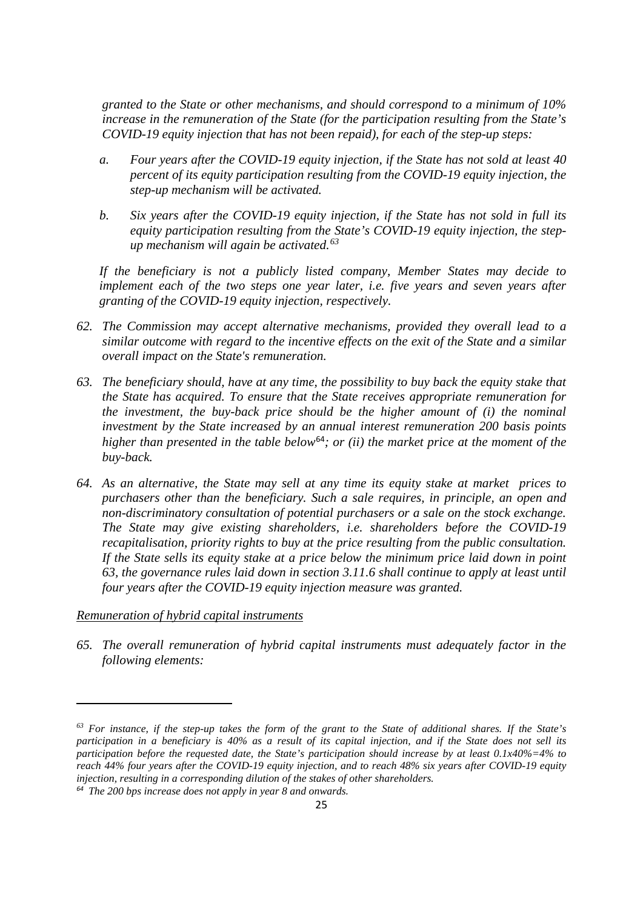*granted to the State or other mechanisms, and should correspond to a minimum of 10% increase in the remuneration of the State (for the participation resulting from the State's COVID-19 equity injection that has not been repaid), for each of the step-up steps:* 

- *a. Four years after the COVID-19 equity injection, if the State has not sold at least 40 percent of its equity participation resulting from the COVID-19 equity injection, the step-up mechanism will be activated.*
- *b. Six years after the COVID-19 equity injection, if the State has not sold in full its equity participation resulting from the State's COVID-19 equity injection, the stepup mechanism will again be activated.[63](#page-24-0)*

*If the beneficiary is not a publicly listed company, Member States may decide to implement each of the two steps one year later, i.e. five years and seven years after granting of the COVID-19 equity injection, respectively.*

- *62. The Commission may accept alternative mechanisms, provided they overall lead to a similar outcome with regard to the incentive effects on the exit of the State and a similar overall impact on the State's remuneration.*
- *63. The beneficiary should, have at any time, the possibility to buy back the equity stake that the State has acquired. To ensure that the State receives appropriate remuneration for the investment, the buy-back price should be the higher amount of (i) the nominal investment by the State increased by an annual interest remuneration 200 basis points higher than presented in the table below*[64](#page-24-1)*; or (ii) the market price at the moment of the buy-back.*
- *64. As an alternative, the State may sell at any time its equity stake at market prices to purchasers other than the beneficiary. Such a sale requires, in principle, an open and non-discriminatory consultation of potential purchasers or a sale on the stock exchange. The State may give existing shareholders, i.e. shareholders before the COVID-19 recapitalisation, priority rights to buy at the price resulting from the public consultation. If the State sells its equity stake at a price below the minimum price laid down in point 63, the governance rules laid down in section 3.11.6 shall continue to apply at least until four years after the COVID-19 equity injection measure was granted.*

### *Remuneration of hybrid capital instruments*

**.** 

*65. The overall remuneration of hybrid capital instruments must adequately factor in the following elements:*

<span id="page-24-0"></span>*<sup>63</sup> For instance, if the step-up takes the form of the grant to the State of additional shares. If the State's participation in a beneficiary is 40% as a result of its capital injection, and if the State does not sell its participation before the requested date, the State's participation should increase by at least 0.1x40%=4% to reach 44% four years after the COVID-19 equity injection, and to reach 48% six years after COVID-19 equity injection, resulting in a corresponding dilution of the stakes of other shareholders.*

<span id="page-24-1"></span>*<sup>64</sup> The 200 bps increase does not apply in year 8 and onwards.*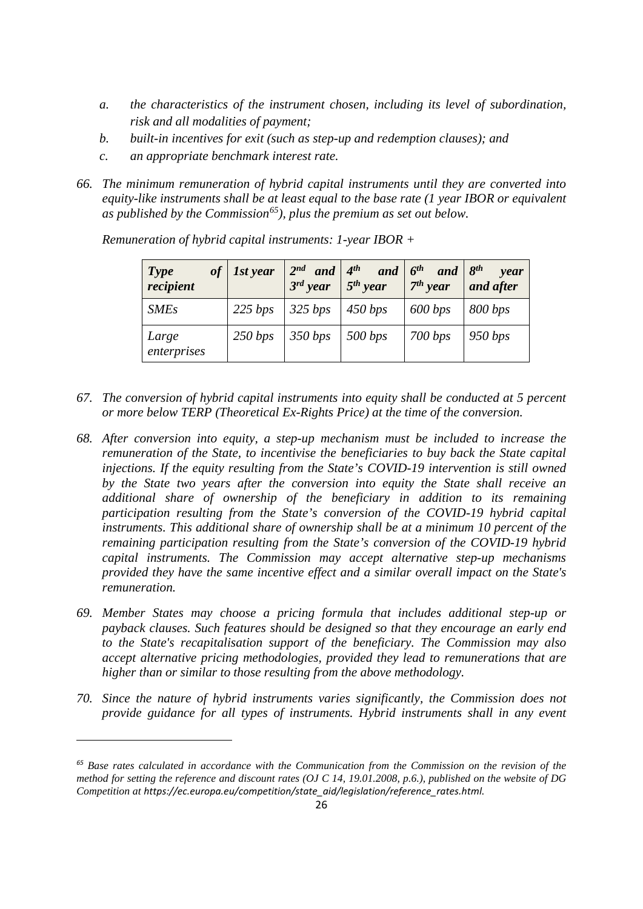- *a. the characteristics of the instrument chosen, including its level of subordination, risk and all modalities of payment;*
- *b. built-in incentives for exit (such as step-up and redemption clauses); and*
- *c. an appropriate benchmark interest rate.*
- *66. The minimum remuneration of hybrid capital instruments until they are converted into equity-like instruments shall be at least equal to the base rate (1 year IBOR or equivalent as published by the Commission[65](#page-25-0)), plus the premium as set out below.*

| of<br>Type<br>recipient | 1st year | $2^{nd}$ and $4^{th}$<br>$3^{rd}$ year | and $6^{th}$<br>$5th$ year | and<br>$7th$ year | $8^{th}$<br>year<br>and after |
|-------------------------|----------|----------------------------------------|----------------------------|-------------------|-------------------------------|
| <b>SMEs</b>             | 225 bps  | 325 bps                                | 450 bps                    | 600 bps           | 800 bps                       |
| Large<br>enterprises    | 250 bps  | 350 bps                                | 500 bps                    | 700 bps           | 950 bps                       |

*Remuneration of hybrid capital instruments: 1-year IBOR +*

- *67. The conversion of hybrid capital instruments into equity shall be conducted at 5 percent or more below TERP (Theoretical Ex-Rights Price) at the time of the conversion.*
- *68. After conversion into equity, a step-up mechanism must be included to increase the remuneration of the State, to incentivise the beneficiaries to buy back the State capital injections. If the equity resulting from the State's COVID-19 intervention is still owned by the State two years after the conversion into equity the State shall receive an additional share of ownership of the beneficiary in addition to its remaining participation resulting from the State's conversion of the COVID-19 hybrid capital instruments. This additional share of ownership shall be at a minimum 10 percent of the remaining participation resulting from the State's conversion of the COVID-19 hybrid capital instruments. The Commission may accept alternative step-up mechanisms provided they have the same incentive effect and a similar overall impact on the State's remuneration.*
- *69. Member States may choose a pricing formula that includes additional step-up or payback clauses. Such features should be designed so that they encourage an early end to the State's recapitalisation support of the beneficiary. The Commission may also accept alternative pricing methodologies, provided they lead to remunerations that are higher than or similar to those resulting from the above methodology.*
- *70. Since the nature of hybrid instruments varies significantly, the Commission does not provide guidance for all types of instruments. Hybrid instruments shall in any event*

<u>.</u>

<span id="page-25-0"></span>*<sup>65</sup> Base rates calculated in accordance with the Communication from the Commission on the revision of the method for setting the reference and discount rates (OJ C 14, 19.01.2008, p.6.), published on the website of DG Competition at https://ec.europa.eu/competition/state\_aid/legislation/reference\_rates.html.*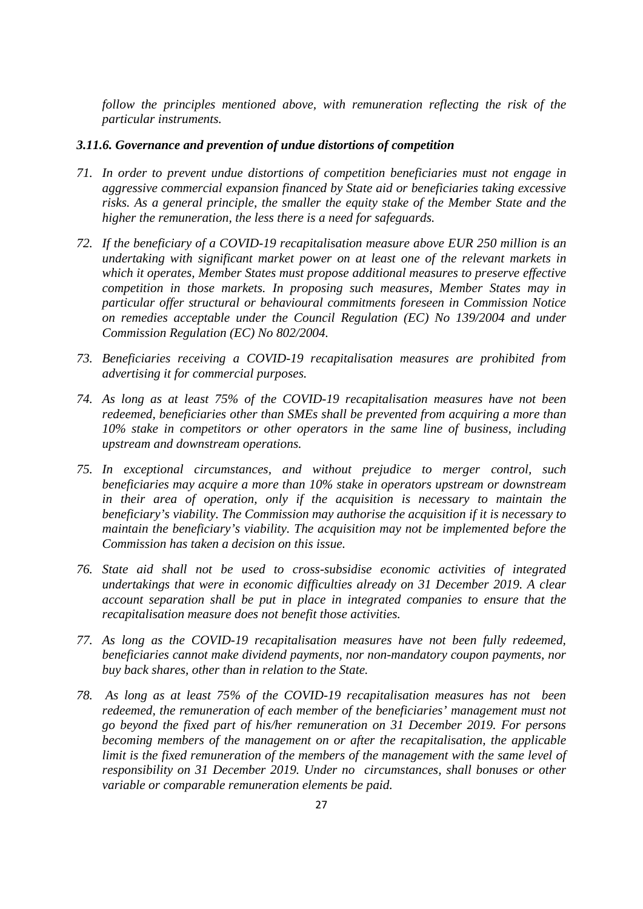*follow the principles mentioned above, with remuneration reflecting the risk of the particular instruments.*

### *3.11.6. Governance and prevention of undue distortions of competition*

- *71. In order to prevent undue distortions of competition beneficiaries must not engage in aggressive commercial expansion financed by State aid or beneficiaries taking excessive risks. As a general principle, the smaller the equity stake of the Member State and the higher the remuneration, the less there is a need for safeguards.*
- *72. If the beneficiary of a COVID-19 recapitalisation measure above EUR 250 million is an undertaking with significant market power on at least one of the relevant markets in which it operates, Member States must propose additional measures to preserve effective competition in those markets. In proposing such measures, Member States may in particular offer structural or behavioural commitments foreseen in Commission Notice on remedies acceptable under the Council Regulation (EC) No 139/2004 and under Commission Regulation (EC) No 802/2004.*
- *73. Beneficiaries receiving a COVID-19 recapitalisation measures are prohibited from advertising it for commercial purposes.*
- *74. As long as at least 75% of the COVID-19 recapitalisation measures have not been redeemed, beneficiaries other than SMEs shall be prevented from acquiring a more than 10% stake in competitors or other operators in the same line of business, including upstream and downstream operations.*
- *75. In exceptional circumstances, and without prejudice to merger control, such beneficiaries may acquire a more than 10% stake in operators upstream or downstream in their area of operation, only if the acquisition is necessary to maintain the beneficiary's viability. The Commission may authorise the acquisition if it is necessary to maintain the beneficiary's viability. The acquisition may not be implemented before the Commission has taken a decision on this issue.*
- *76. State aid shall not be used to cross-subsidise economic activities of integrated undertakings that were in economic difficulties already on 31 December 2019. A clear account separation shall be put in place in integrated companies to ensure that the recapitalisation measure does not benefit those activities.*
- *77. As long as the COVID-19 recapitalisation measures have not been fully redeemed, beneficiaries cannot make dividend payments, nor non-mandatory coupon payments, nor buy back shares, other than in relation to the State.*
- *78. As long as at least 75% of the COVID-19 recapitalisation measures has not been redeemed, the remuneration of each member of the beneficiaries' management must not go beyond the fixed part of his/her remuneration on 31 December 2019. For persons becoming members of the management on or after the recapitalisation, the applicable limit is the fixed remuneration of the members of the management with the same level of responsibility on 31 December 2019. Under no circumstances, shall bonuses or other variable or comparable remuneration elements be paid.*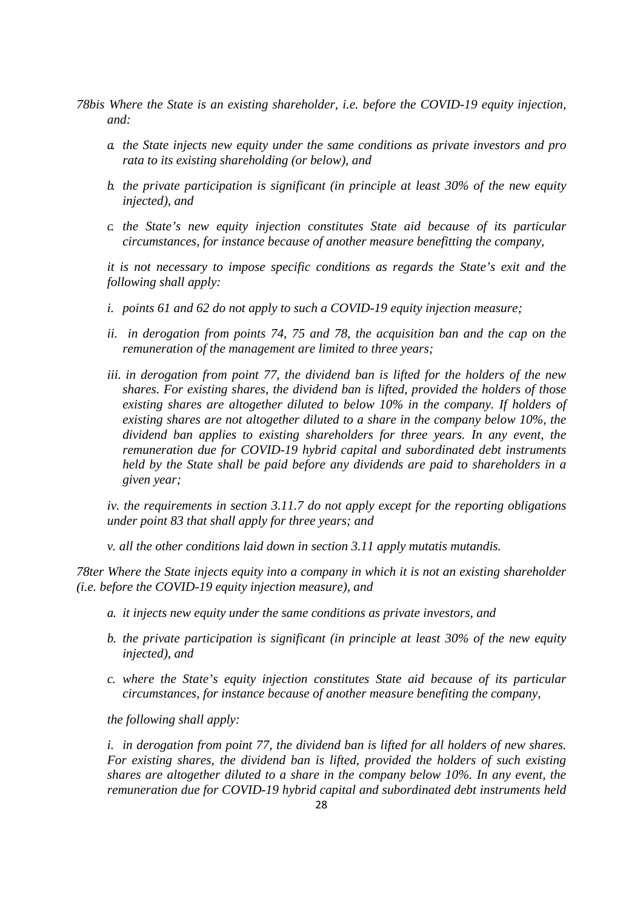- *78bis Where the State is an existing shareholder, i.e. before the COVID-19 equity injection, and:*
	- *a. the State injects new equity under the same conditions as private investors and pro rata to its existing shareholding (or below), and*
	- *b. the private participation is significant (in principle at least 30% of the new equity injected), and*
	- *c. the State's new equity injection constitutes State aid because of its particular circumstances, for instance because of another measure benefitting the company,*

*it is not necessary to impose specific conditions as regards the State's exit and the following shall apply:*

- *i. points 61 and 62 do not apply to such a COVID-19 equity injection measure;*
- *ii. in derogation from points 74, 75 and 78, the acquisition ban and the cap on the remuneration of the management are limited to three years;*
- *iii. in derogation from point 77, the dividend ban is lifted for the holders of the new shares. For existing shares, the dividend ban is lifted, provided the holders of those existing shares are altogether diluted to below 10% in the company. If holders of existing shares are not altogether diluted to a share in the company below 10%, the dividend ban applies to existing shareholders for three years. In any event, the remuneration due for COVID-19 hybrid capital and subordinated debt instruments held by the State shall be paid before any dividends are paid to shareholders in a given year;*

*iv. the requirements in section 3.11.7 do not apply except for the reporting obligations under point 83 that shall apply for three years; and*

*v. all the other conditions laid down in section 3.11 apply mutatis mutandis.*

*78ter Where the State injects equity into a company in which it is not an existing shareholder (i.e. before the COVID-19 equity injection measure), and*

- *a. it injects new equity under the same conditions as private investors, and*
- *b. the private participation is significant (in principle at least 30% of the new equity injected), and*
- *c. where the State's equity injection constitutes State aid because of its particular circumstances, for instance because of another measure benefiting the company,*

*the following shall apply:*

*i. in derogation from point 77, the dividend ban is lifted for all holders of new shares. For existing shares, the dividend ban is lifted, provided the holders of such existing shares are altogether diluted to a share in the company below 10%. In any event, the remuneration due for COVID-19 hybrid capital and subordinated debt instruments held*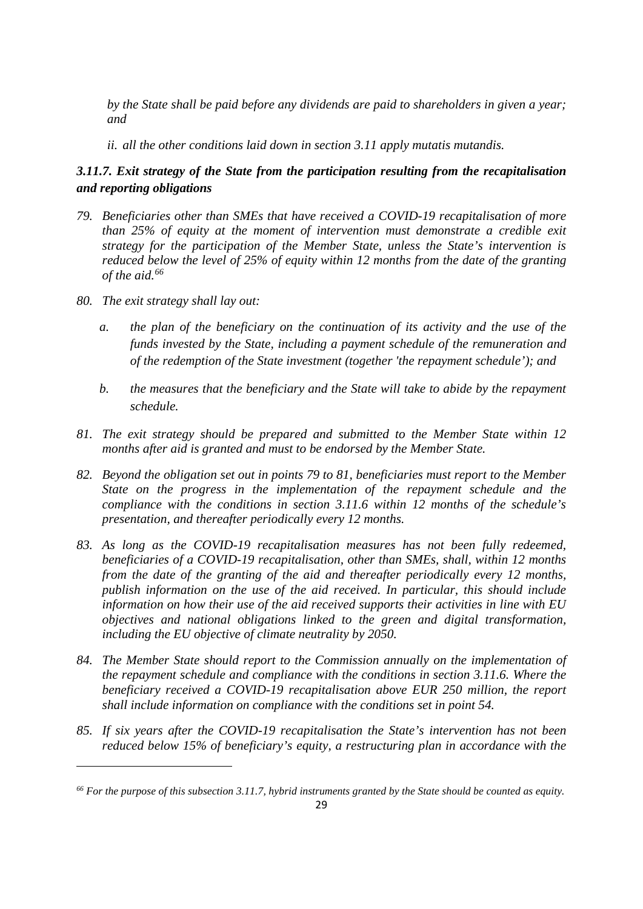*by the State shall be paid before any dividends are paid to shareholders in given a year; and*

*ii. all the other conditions laid down in section 3.11 apply mutatis mutandis.*

## *3.11.7. Exit strategy of the State from the participation resulting from the recapitalisation and reporting obligations*

- *79. Beneficiaries other than SMEs that have received a COVID-19 recapitalisation of more than 25% of equity at the moment of intervention must demonstrate a credible exit strategy for the participation of the Member State, unless the State's intervention is reduced below the level of 25% of equity within 12 months from the date of the granting of the aid.[66](#page-28-0)*
- *80. The exit strategy shall lay out:*

<u>.</u>

- *a. the plan of the beneficiary on the continuation of its activity and the use of the funds invested by the State, including a payment schedule of the remuneration and of the redemption of the State investment (together 'the repayment schedule'); and*
- *b. the measures that the beneficiary and the State will take to abide by the repayment schedule.*
- *81. The exit strategy should be prepared and submitted to the Member State within 12 months after aid is granted and must to be endorsed by the Member State.*
- *82. Beyond the obligation set out in points 79 to 81, beneficiaries must report to the Member State on the progress in the implementation of the repayment schedule and the compliance with the conditions in section 3.11.6 within 12 months of the schedule's presentation, and thereafter periodically every 12 months.*
- *83. As long as the COVID-19 recapitalisation measures has not been fully redeemed, beneficiaries of a COVID-19 recapitalisation, other than SMEs, shall, within 12 months from the date of the granting of the aid and thereafter periodically every 12 months, publish information on the use of the aid received. In particular, this should include information on how their use of the aid received supports their activities in line with EU objectives and national obligations linked to the green and digital transformation, including the EU objective of climate neutrality by 2050.*
- *84. The Member State should report to the Commission annually on the implementation of the repayment schedule and compliance with the conditions in section 3.11.6. Where the beneficiary received a COVID-19 recapitalisation above EUR 250 million, the report shall include information on compliance with the conditions set in point 54.*
- *85. If six years after the COVID-19 recapitalisation the State's intervention has not been reduced below 15% of beneficiary's equity, a restructuring plan in accordance with the*

<span id="page-28-0"></span>*<sup>66</sup> For the purpose of this subsection 3.11.7, hybrid instruments granted by the State should be counted as equity.*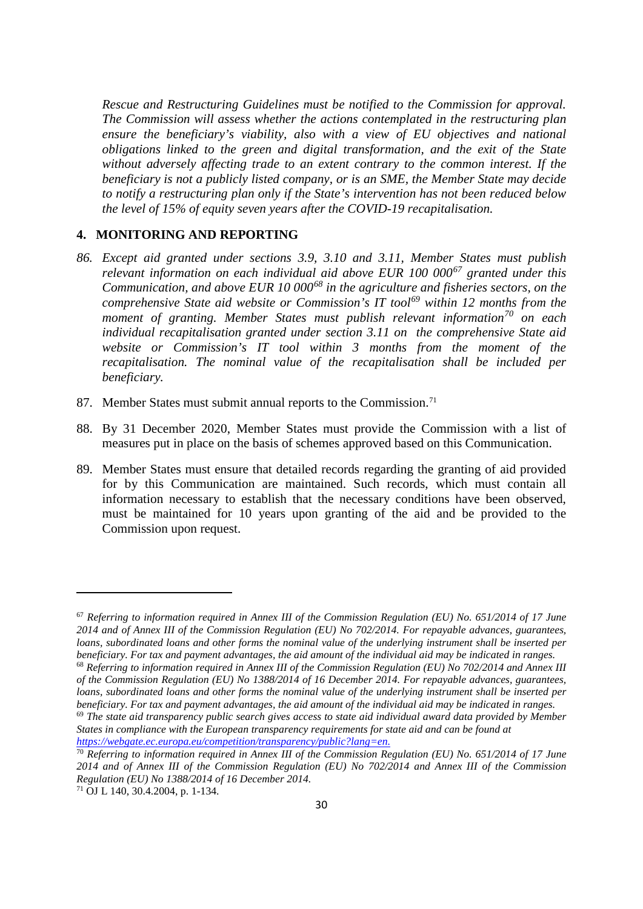*Rescue and Restructuring Guidelines must be notified to the Commission for approval. The Commission will assess whether the actions contemplated in the restructuring plan ensure the beneficiary's viability, also with a view of EU objectives and national obligations linked to the green and digital transformation, and the exit of the State without adversely affecting trade to an extent contrary to the common interest. If the beneficiary is not a publicly listed company, or is an SME, the Member State may decide to notify a restructuring plan only if the State's intervention has not been reduced below the level of 15% of equity seven years after the COVID-19 recapitalisation.*

### **4. MONITORING AND REPORTING**

- *86. Except aid granted under sections 3.9, 3.10 and 3.11, Member States must publish relevant information on each individual aid above EUR 100 000[67](#page-29-0) granted under this Communication, and above EUR 10 000[68](#page-29-1) in the agriculture and fisheries sectors, on the comprehensive State aid website or Commission's IT tool[69](#page-29-2) within 12 months from the moment of granting. Member States must publish relevant information[70](#page-29-3) on each individual recapitalisation granted under section 3.11 on the comprehensive State aid website or Commission's IT tool within 3 months from the moment of the recapitalisation. The nominal value of the recapitalisation shall be included per beneficiary.*
- 87. Member States must submit annual reports to the Commission.<sup>[71](#page-29-4)</sup>
- 88. By 31 December 2020, Member States must provide the Commission with a list of measures put in place on the basis of schemes approved based on this Communication.
- 89. Member States must ensure that detailed records regarding the granting of aid provided for by this Communication are maintained. Such records, which must contain all information necessary to establish that the necessary conditions have been observed, must be maintained for 10 years upon granting of the aid and be provided to the Commission upon request.

<span id="page-29-2"></span>*[https://webgate.ec.europa.eu/competition/transparency/public?lang=en.](https://webgate.ec.europa.eu/competition/transparency/public?lang=en)*

**.** 

<span id="page-29-0"></span><sup>67</sup> *Referring to information required in Annex III of the Commission Regulation (EU) No. 651/2014 of 17 June 2014 and of Annex III of the Commission Regulation (EU) No 702/2014. For repayable advances, guarantees, loans, subordinated loans and other forms the nominal value of the underlying instrument shall be inserted per beneficiary. For tax and payment advantages, the aid amount of the individual aid may be indicated in ranges.*

<span id="page-29-1"></span><sup>68</sup> *Referring to information required in Annex III of the Commission Regulation (EU) No 702/2014 and Annex III of the Commission Regulation (EU) No 1388/2014 of 16 December 2014. For repayable advances, guarantees, loans, subordinated loans and other forms the nominal value of the underlying instrument shall be inserted per beneficiary. For tax and payment advantages, the aid amount of the individual aid may be indicated in ranges.* <sup>69</sup> *The state aid transparency public search gives access to state aid individual award data provided by Member States in compliance with the European transparency requirements for state aid and can be found at*

<span id="page-29-3"></span><sup>70</sup> *Referring to information required in Annex III of the Commission Regulation (EU) No. 651/2014 of 17 June 2014 and of Annex III of the Commission Regulation (EU) No 702/2014 and Annex III of the Commission Regulation (EU) No 1388/2014 of 16 December 2014.*

<span id="page-29-4"></span><sup>71</sup> OJ L 140, 30.4.2004, p. 1-134.